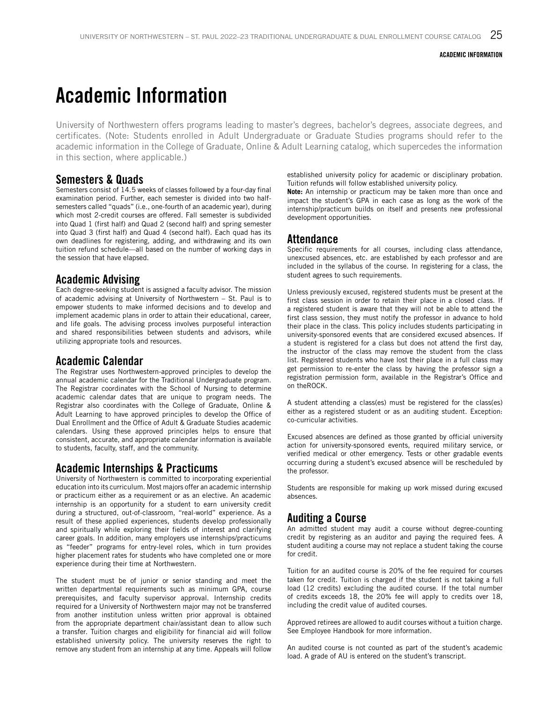## Academic Information

University of Northwestern offers programs leading to master's degrees, bachelor's degrees, associate degrees, and certificates. (Note: Students enrolled in Adult Undergraduate or Graduate Studies programs should refer to the academic information in the College of Graduate, Online & Adult Learning catalog, which supercedes the information in this section, where applicable.)

### Semesters & Quads

Semesters consist of 14.5 weeks of classes followed by a four-day final examination period. Further, each semester is divided into two halfsemesters called "quads" (i.e., one-fourth of an academic year), during which most 2-credit courses are offered. Fall semester is subdivided into Quad 1 (first half) and Quad 2 (second half) and spring semester into Quad 3 (first half) and Quad 4 (second half). Each quad has its own deadlines for registering, adding, and withdrawing and its own tuition refund schedule—all based on the number of working days in the session that have elapsed.

### Academic Advising

Each degree-seeking student is assigned a faculty advisor. The mission of academic advising at University of Northwestern – St. Paul is to empower students to make informed decisions and to develop and implement academic plans in order to attain their educational, career, and life goals. The advising process involves purposeful interaction and shared responsibilities between students and advisors, while utilizing appropriate tools and resources.

### Academic Calendar

The Registrar uses Northwestern-approved principles to develop the annual academic calendar for the Traditional Undergraduate program. The Registrar coordinates with the School of Nursing to determine academic calendar dates that are unique to program needs. The Registrar also coordinates with the College of Graduate, Online & Adult Learning to have approved principles to develop the Office of Dual Enrollment and the Office of Adult & Graduate Studies academic calendars. Using these approved principles helps to ensure that consistent, accurate, and appropriate calendar information is available to students, faculty, staff, and the community.

### Academic Internships & Practicums

University of Northwestern is committed to incorporating experiential education into its curriculum. Most majors offer an academic internship or practicum either as a requirement or as an elective. An academic internship is an opportunity for a student to earn university credit during a structured, out-of-classroom, "real-world" experience. As a result of these applied experiences, students develop professionally and spiritually while exploring their fields of interest and clarifying career goals. In addition, many employers use internships/practicums as "feeder" programs for entry-level roles, which in turn provides higher placement rates for students who have completed one or more experience during their time at Northwestern.

The student must be of junior or senior standing and meet the written departmental requirements such as minimum GPA, course prerequisites, and faculty supervisor approval. Internship credits required for a University of Northwestern major may not be transferred from another institution unless written prior approval is obtained from the appropriate department chair/assistant dean to allow such a transfer. Tuition charges and eligibility for financial aid will follow established university policy. The university reserves the right to remove any student from an internship at any time. Appeals will follow established university policy for academic or disciplinary probation. Tuition refunds will follow established university policy.

**Note:** An internship or practicum may be taken more than once and impact the student's GPA in each case as long as the work of the internship/practicum builds on itself and presents new professional development opportunities.

### Attendance

Specific requirements for all courses, including class attendance, unexcused absences, etc. are established by each professor and are included in the syllabus of the course. In registering for a class, the student agrees to such requirements.

Unless previously excused, registered students must be present at the first class session in order to retain their place in a closed class. If a registered student is aware that they will not be able to attend the first class session, they must notify the professor in advance to hold their place in the class. This policy includes students participating in university-sponsored events that are considered excused absences. If a student is registered for a class but does not attend the first day, the instructor of the class may remove the student from the class list. Registered students who have lost their place in a full class may get permission to re-enter the class by having the professor sign a registration permission form, available in the Registrar's Office and on theROCK.

A student attending a class(es) must be registered for the class(es) either as a registered student or as an auditing student. Exception: co-curricular activities.

Excused absences are defined as those granted by official university action for university-sponsored events, required military service, or verified medical or other emergency. Tests or other gradable events occurring during a student's excused absence will be rescheduled by the professor.

Students are responsible for making up work missed during excused absences.

### Auditing a Course

An admitted student may audit a course without degree-counting credit by registering as an auditor and paying the required fees. A student auditing a course may not replace a student taking the course for credit.

Tuition for an audited course is 20% of the fee required for courses taken for credit. Tuition is charged if the student is not taking a full load (12 credits) excluding the audited course. If the total number of credits exceeds 18, the 20% fee will apply to credits over 18, including the credit value of audited courses.

Approved retirees are allowed to audit courses without a tuition charge. See Employee Handbook for more information.

An audited course is not counted as part of the student's academic load. A grade of AU is entered on the student's transcript.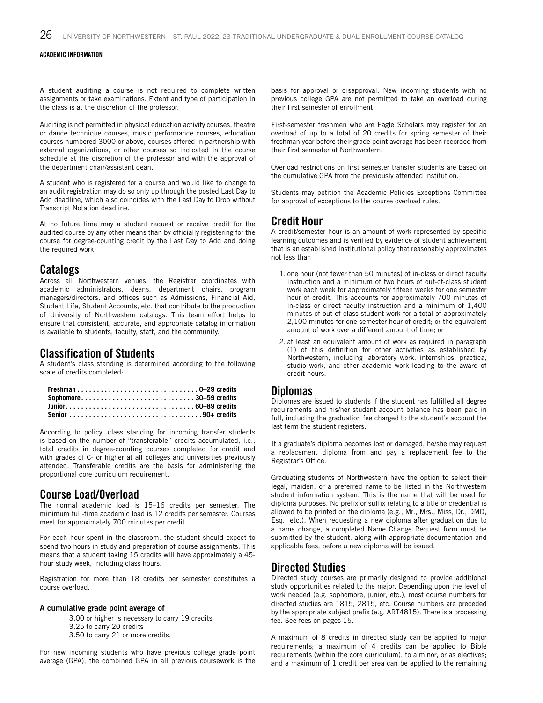A student auditing a course is not required to complete written assignments or take examinations. Extent and type of participation in the class is at the discretion of the professor.

Auditing is not permitted in physical education activity courses, theatre or dance technique courses, music performance courses, education courses numbered 3000 or above, courses offered in partnership with external organizations, or other courses so indicated in the course schedule at the discretion of the professor and with the approval of the department chair/assistant dean.

A student who is registered for a course and would like to change to an audit registration may do so only up through the posted Last Day to Add deadline, which also coincides with the Last Day to Drop without Transcript Notation deadline.

At no future time may a student request or receive credit for the audited course by any other means than by officially registering for the course for degree-counting credit by the Last Day to Add and doing the required work.

#### Catalogs

Across all Northwestern venues, the Registrar coordinates with academic administrators, deans, department chairs, program managers/directors, and offices such as Admissions, Financial Aid, Student Life, Student Accounts, etc. that contribute to the production of University of Northwestern catalogs. This team effort helps to ensure that consistent, accurate, and appropriate catalog information is available to students, faculty, staff, and the community.

#### Classification of Students

A student's class standing is determined according to the following scale of credits completed:

| Senior 90+ credits |  |
|--------------------|--|

According to policy, class standing for incoming transfer students is based on the number of "transferable" credits accumulated, i.e., total credits in degree-counting courses completed for credit and with grades of C- or higher at all colleges and universities previously attended. Transferable credits are the basis for administering the proportional core curriculum requirement.

### Course Load/Overload

The normal academic load is 15–16 credits per semester. The minimum full-time academic load is 12 credits per semester. Courses meet for approximately 700 minutes per credit.

For each hour spent in the classroom, the student should expect to spend two hours in study and preparation of course assignments. This means that a student taking 15 credits will have approximately a 45 hour study week, including class hours.

Registration for more than 18 credits per semester constitutes a course overload.

#### A cumulative grade point average of

3.00 or higher is necessary to carry 19 credits 3.25 to carry 20 credits 3.50 to carry 21 or more credits.

For new incoming students who have previous college grade point average (GPA), the combined GPA in all previous coursework is the basis for approval or disapproval. New incoming students with no previous college GPA are not permitted to take an overload during their first semester of enrollment.

First-semester freshmen who are Eagle Scholars may register for an overload of up to a total of 20 credits for spring semester of their freshman year before their grade point average has been recorded from their first semester at Northwestern.

Overload restrictions on first semester transfer students are based on the cumulative GPA from the previously attended institution.

Students may petition the Academic Policies Exceptions Committee for approval of exceptions to the course overload rules.

#### Credit Hour

A credit/semester hour is an amount of work represented by specific learning outcomes and is verified by evidence of student achievement that is an established institutional policy that reasonably approximates not less than

- 1. one hour (not fewer than 50 minutes) of in-class or direct faculty instruction and a minimum of two hours of out-of-class student work each week for approximately fifteen weeks for one semester hour of credit. This accounts for approximately 700 minutes of in-class or direct faculty instruction and a minimum of 1,400 minutes of out-of-class student work for a total of approximately 2,100 minutes for one semester hour of credit; or the equivalent amount of work over a different amount of time; or
- 2. at least an equivalent amount of work as required in paragraph (1) of this definition for other activities as established by Northwestern, including laboratory work, internships, practica, studio work, and other academic work leading to the award of credit hours.

### Diplomas

Diplomas are issued to students if the student has fulfilled all degree requirements and his/her student account balance has been paid in full, including the graduation fee charged to the student's account the last term the student registers.

If a graduate's diploma becomes lost or damaged, he/she may request a replacement diploma from and pay a replacement fee to the Registrar's Office.

Graduating students of Northwestern have the option to select their legal, maiden, or a preferred name to be listed in the Northwestern student information system. This is the name that will be used for diploma purposes. No prefix or suffix relating to a title or credential is allowed to be printed on the diploma (e.g., Mr., Mrs., Miss, Dr., DMD, Esq., etc.). When requesting a new diploma after graduation due to a name change, a completed Name Change Request form must be submitted by the student, along with appropriate documentation and applicable fees, before a new diploma will be issued.

### Directed Studies

Directed study courses are primarily designed to provide additional study opportunities related to the major. Depending upon the level of work needed (e.g. sophomore, junior, etc.), most course numbers for directed studies are 1815, 2815, etc. Course numbers are preceded by the appropriate subject prefix (e.g. ART4815). There is a processing fee. See fees on pages 15.

A maximum of 8 credits in directed study can be applied to major requirements; a maximum of 4 credits can be applied to Bible requirements (within the core curriculum), to a minor, or as electives; and a maximum of 1 credit per area can be applied to the remaining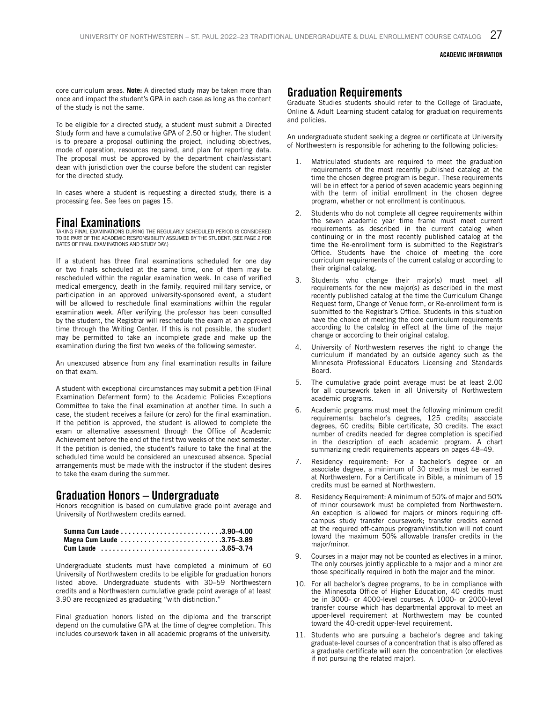core curriculum areas. **Note:** A directed study may be taken more than once and impact the student's GPA in each case as long as the content of the study is not the same.

To be eligible for a directed study, a student must submit a Directed Study form and have a cumulative GPA of 2.50 or higher. The student is to prepare a proposal outlining the project, including objectives, mode of operation, resources required, and plan for reporting data. The proposal must be approved by the department chair/assistant dean with jurisdiction over the course before the student can register for the directed study.

In cases where a student is requesting a directed study, there is a processing fee. See fees on pages 15.

### Final Examinations

TAKING FINAL EXAMINATIONS DURING THE REGULARLY SCHEDULED PERIOD IS CONSIDERED TO BE PART OF THE ACADEMIC RESPONSIBILITY ASSUMED BY THE STUDENT. (SEE PAGE 2 FOR DATES OF FINAL EXAMINATIONS AND STUDY DAY.)

If a student has three final examinations scheduled for one day or two finals scheduled at the same time, one of them may be rescheduled within the regular examination week. In case of verified medical emergency, death in the family, required military service, or participation in an approved university-sponsored event, a student will be allowed to reschedule final examinations within the regular examination week. After verifying the professor has been consulted by the student, the Registrar will reschedule the exam at an approved time through the Writing Center. If this is not possible, the student may be permitted to take an incomplete grade and make up the examination during the first two weeks of the following semester.

An unexcused absence from any final examination results in failure on that exam.

A student with exceptional circumstances may submit a petition (Final Examination Deferment form) to the Academic Policies Exceptions Committee to take the final examination at another time. In such a case, the student receives a failure (or zero) for the final examination. If the petition is approved, the student is allowed to complete the exam or alternative assessment through the Office of Academic Achievement before the end of the first two weeks of the next semester. If the petition is denied, the student's failure to take the final at the scheduled time would be considered an unexcused absence. Special arrangements must be made with the instructor if the student desires to take the exam during the summer.

### Graduation Honors – Undergraduate

Honors recognition is based on cumulative grade point average and University of Northwestern credits earned.

| Magna Cum Laude 3.75-3.89 |  |
|---------------------------|--|
| Cum Laude 3.65-3.74       |  |

Undergraduate students must have completed a minimum of 60 University of Northwestern credits to be eligible for graduation honors listed above. Undergraduate students with 30–59 Northwestern credits and a Northwestern cumulative grade point average of at least 3.90 are recognized as graduating "with distinction."

Final graduation honors listed on the diploma and the transcript depend on the cumulative GPA at the time of degree completion. This includes coursework taken in all academic programs of the university.

### Graduation Requirements

Graduate Studies students should refer to the College of Graduate, Online & Adult Learning student catalog for graduation requirements and policies.

An undergraduate student seeking a degree or certificate at University of Northwestern is responsible for adhering to the following policies:

- Matriculated students are required to meet the graduation requirements of the most recently published catalog at the time the chosen degree program is begun. These requirements will be in effect for a period of seven academic years beginning with the term of initial enrollment in the chosen degree program, whether or not enrollment is continuous.
- Students who do not complete all degree requirements within the seven academic year time frame must meet current requirements as described in the current catalog when continuing or in the most recently published catalog at the time the Re-enrollment form is submitted to the Registrar's Office. Students have the choice of meeting the core curriculum requirements of the current catalog or according to their original catalog.
- 3. Students who change their major(s) must meet all requirements for the new major(s) as described in the most recently published catalog at the time the Curriculum Change Request form, Change of Venue form, or Re-enrollment form is submitted to the Registrar's Office. Students in this situation have the choice of meeting the core curriculum requirements according to the catalog in effect at the time of the major change or according to their original catalog.
- University of Northwestern reserves the right to change the curriculum if mandated by an outside agency such as the Minnesota Professional Educators Licensing and Standards Board.
- 5. The cumulative grade point average must be at least 2.00 for all coursework taken in all University of Northwestern academic programs.
- 6. Academic programs must meet the following minimum credit requirements: bachelor's degrees, 125 credits; associate degrees, 60 credits; Bible certificate, 30 credits. The exact number of credits needed for degree completion is specified in the description of each academic program. A chart summarizing credit requirements appears on pages 48–49.
- Residency requirement: For a bachelor's degree or an associate degree, a minimum of 30 credits must be earned at Northwestern. For a Certificate in Bible, a minimum of 15 credits must be earned at Northwestern.
- Residency Requirement: A minimum of 50% of major and 50% of minor coursework must be completed from Northwestern. An exception is allowed for majors or minors requiring offcampus study transfer coursework; transfer credits earned at the required off-campus program/institution will not count toward the maximum 50% allowable transfer credits in the major/minor.
- 9. Courses in a major may not be counted as electives in a minor. The only courses jointly applicable to a major and a minor are those specifically required in both the major and the minor.
- 10. For all bachelor's degree programs, to be in compliance with the Minnesota Office of Higher Education, 40 credits must be in 3000- or 4000-level courses. A 1000- or 2000-level transfer course which has departmental approval to meet an upper-level requirement at Northwestern may be counted toward the 40-credit upper-level requirement.
- 11. Students who are pursuing a bachelor's degree and taking graduate-level courses of a concentration that is also offered as a graduate certificate will earn the concentration (or electives if not pursuing the related major).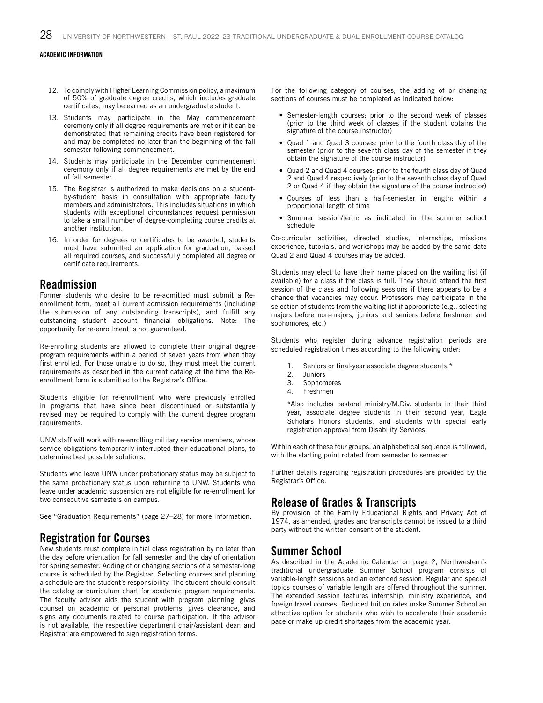- 12. To comply with Higher Learning Commission policy, a maximum of 50% of graduate degree credits, which includes graduate certificates, may be earned as an undergraduate student.
- 13. Students may participate in the May commencement ceremony only if all degree requirements are met or if it can be demonstrated that remaining credits have been registered for and may be completed no later than the beginning of the fall semester following commencement.
- 14. Students may participate in the December commencement ceremony only if all degree requirements are met by the end of fall semester.
- 15. The Registrar is authorized to make decisions on a studentby-student basis in consultation with appropriate faculty members and administrators. This includes situations in which students with exceptional circumstances request permission to take a small number of degree-completing course credits at another institution.
- 16. In order for degrees or certificates to be awarded, students must have submitted an application for graduation, passed all required courses, and successfully completed all degree or certificate requirements.

### Readmission

Former students who desire to be re-admitted must submit a Reenrollment form, meet all current admission requirements (including the submission of any outstanding transcripts), and fulfill any outstanding student account financial obligations. Note: The opportunity for re-enrollment is not guaranteed.

Re-enrolling students are allowed to complete their original degree program requirements within a period of seven years from when they first enrolled. For those unable to do so, they must meet the current requirements as described in the current catalog at the time the Reenrollment form is submitted to the Registrar's Office.

Students eligible for re-enrollment who were previously enrolled in programs that have since been discontinued or substantially revised may be required to comply with the current degree program requirements.

UNW staff will work with re-enrolling military service members, whose service obligations temporarily interrupted their educational plans, to determine best possible solutions.

Students who leave UNW under probationary status may be subject to the same probationary status upon returning to UNW. Students who leave under academic suspension are not eligible for re-enrollment for two consecutive semesters on campus.

See "Graduation Requirements" (page 27–28) for more information.

### Registration for Courses

New students must complete initial class registration by no later than the day before orientation for fall semester and the day of orientation for spring semester. Adding of or changing sections of a semester-long course is scheduled by the Registrar. Selecting courses and planning a schedule are the student's responsibility. The student should consult the catalog or curriculum chart for academic program requirements. The faculty advisor aids the student with program planning, gives counsel on academic or personal problems, gives clearance, and signs any documents related to course participation. If the advisor is not available, the respective department chair/assistant dean and Registrar are empowered to sign registration forms.

For the following category of courses, the adding of or changing sections of courses must be completed as indicated below:

- Semester-length courses: prior to the second week of classes (prior to the third week of classes if the student obtains the signature of the course instructor)
- Quad 1 and Quad 3 courses: prior to the fourth class day of the semester (prior to the seventh class day of the semester if they obtain the signature of the course instructor)
- Quad 2 and Quad 4 courses: prior to the fourth class day of Quad 2 and Quad 4 respectively (prior to the seventh class day of Quad 2 or Quad 4 if they obtain the signature of the course instructor)
- Courses of less than a half-semester in length: within a proportional length of time
- Summer session/term: as indicated in the summer school schedule

Co-curricular activities, directed studies, internships, missions experience, tutorials, and workshops may be added by the same date Quad 2 and Quad 4 courses may be added.

Students may elect to have their name placed on the waiting list (if available) for a class if the class is full. They should attend the first session of the class and following sessions if there appears to be a chance that vacancies may occur. Professors may participate in the selection of students from the waiting list if appropriate (e.g., selecting majors before non-majors, juniors and seniors before freshmen and sophomores, etc.)

Students who register during advance registration periods are scheduled registration times according to the following order:

- 1. Seniors or final-year associate degree students.\*
- 2. Juniors
- 3. Sophomores
- 4. Freshmen

\*Also includes pastoral ministry/M.Div. students in their third year, associate degree students in their second year, Eagle Scholars Honors students, and students with special early registration approval from Disability Services.

Within each of these four groups, an alphabetical sequence is followed, with the starting point rotated from semester to semester.

Further details regarding registration procedures are provided by the Registrar's Office.

### Release of Grades & Transcripts

By provision of the Family Educational Rights and Privacy Act of 1974, as amended, grades and transcripts cannot be issued to a third party without the written consent of the student.

### Summer School

As described in the Academic Calendar on page 2, Northwestern's traditional undergraduate Summer School program consists of variable-length sessions and an extended session. Regular and special topics courses of variable length are offered throughout the summer. The extended session features internship, ministry experience, and foreign travel courses. Reduced tuition rates make Summer School an attractive option for students who wish to accelerate their academic pace or make up credit shortages from the academic year.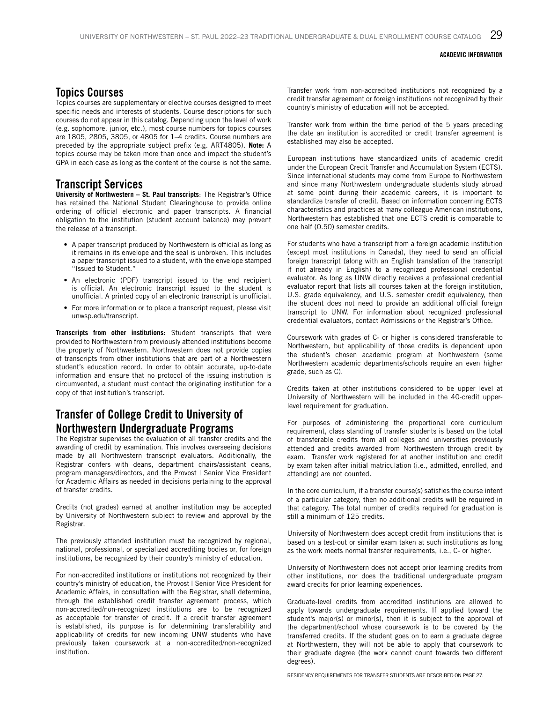### Topics Courses

Topics courses are supplementary or elective courses designed to meet specific needs and interests of students. Course descriptions for such courses do not appear in this catalog. Depending upon the level of work (e.g. sophomore, junior, etc.), most course numbers for topics courses are 1805, 2805, 3805, or 4805 for 1–4 credits. Course numbers are preceded by the appropriate subject prefix (e.g. ART4805). **Note:** A topics course may be taken more than once and impact the student's GPA in each case as long as the content of the course is not the same.

### Transcript Services

**University of Northwestern – St. Paul transcripts**: The Registrar's Office has retained the National Student Clearinghouse to provide online ordering of official electronic and paper transcripts. A financial obligation to the institution (student account balance) may prevent the release of a transcript.

- A paper transcript produced by Northwestern is official as long as it remains in its envelope and the seal is unbroken. This includes a paper transcript issued to a student, with the envelope stamped "Issued to Student."
- An electronic (PDF) transcript issued to the end recipient is official. An electronic transcript issued to the student is unofficial. A printed copy of an electronic transcript is unofficial.
- For more information or to place a transcript request, please visit unwsp.edu/transcript.

**Transcripts from other institutions:** Student transcripts that were provided to Northwestern from previously attended institutions become the property of Northwestern. Northwestern does not provide copies of transcripts from other institutions that are part of a Northwestern student's education record. In order to obtain accurate, up-to-date information and ensure that no protocol of the issuing institution is circumvented, a student must contact the originating institution for a copy of that institution's transcript.

### Transfer of College Credit to University of Northwestern Undergraduate Programs

The Registrar supervises the evaluation of all transfer credits and the awarding of credit by examination. This involves overseeing decisions made by all Northwestern transcript evaluators. Additionally, the Registrar confers with deans, department chairs/assistant deans, program managers/directors, and the Provost | Senior Vice President for Academic Affairs as needed in decisions pertaining to the approval of transfer credits.

Credits (not grades) earned at another institution may be accepted by University of Northwestern subject to review and approval by the Registrar.

The previously attended institution must be recognized by regional, national, professional, or specialized accrediting bodies or, for foreign institutions, be recognized by their country's ministry of education.

For non-accredited institutions or institutions not recognized by their country's ministry of education, the Provost | Senior Vice President for Academic Affairs, in consultation with the Registrar, shall determine, through the established credit transfer agreement process, which non-accredited/non-recognized institutions are to be recognized as acceptable for transfer of credit. If a credit transfer agreement is established, its purpose is for determining transferability and applicability of credits for new incoming UNW students who have previously taken coursework at a non-accredited/non-recognized institution.

Transfer work from non-accredited institutions not recognized by a credit transfer agreement or foreign institutions not recognized by their country's ministry of education will not be accepted.

Transfer work from within the time period of the 5 years preceding the date an institution is accredited or credit transfer agreement is established may also be accepted.

European institutions have standardized units of academic credit under the European Credit Transfer and Accumulation System (ECTS). Since international students may come from Europe to Northwestern and since many Northwestern undergraduate students study abroad at some point during their academic careers, it is important to standardize transfer of credit. Based on information concerning ECTS characteristics and practices at many colleague American institutions, Northwestern has established that one ECTS credit is comparable to one half (0.50) semester credits.

For students who have a transcript from a foreign academic institution (except most institutions in Canada), they need to send an official foreign transcript (along with an English translation of the transcript if not already in English) to a recognized professional credential evaluator. As long as UNW directly receives a professional credential evaluator report that lists all courses taken at the foreign institution, U.S. grade equivalency, and U.S. semester credit equivalency, then the student does not need to provide an additional official foreign transcript to UNW. For information about recognized professional credential evaluators, contact Admissions or the Registrar's Office.

Coursework with grades of C- or higher is considered transferable to Northwestern, but applicability of those credits is dependent upon the student's chosen academic program at Northwestern (some Northwestern academic departments/schools require an even higher grade, such as C).

Credits taken at other institutions considered to be upper level at University of Northwestern will be included in the 40-credit upperlevel requirement for graduation.

For purposes of administering the proportional core curriculum requirement, class standing of transfer students is based on the total of transferable credits from all colleges and universities previously attended and credits awarded from Northwestern through credit by exam. Transfer work registered for at another institution and credit by exam taken after initial matriculation (i.e., admitted, enrolled, and attending) are not counted.

In the core curriculum, if a transfer course(s) satisfies the course intent of a particular category, then no additional credits will be required in that category. The total number of credits required for graduation is still a minimum of 125 credits.

University of Northwestern does accept credit from institutions that is based on a test-out or similar exam taken at such institutions as long as the work meets normal transfer requirements, i.e., C- or higher.

University of Northwestern does not accept prior learning credits from other institutions, nor does the traditional undergraduate program award credits for prior learning experiences.

Graduate-level credits from accredited institutions are allowed to apply towards undergraduate requirements. If applied toward the student's major(s) or minor(s), then it is subject to the approval of the department/school whose coursework is to be covered by the transferred credits. If the student goes on to earn a graduate degree at Northwestern, they will not be able to apply that coursework to their graduate degree (the work cannot count towards two different degrees).

RESIDENCY REQUIREMENTS FOR TRANSFER STUDENTS ARE DESCRIBED ON PAGE 27.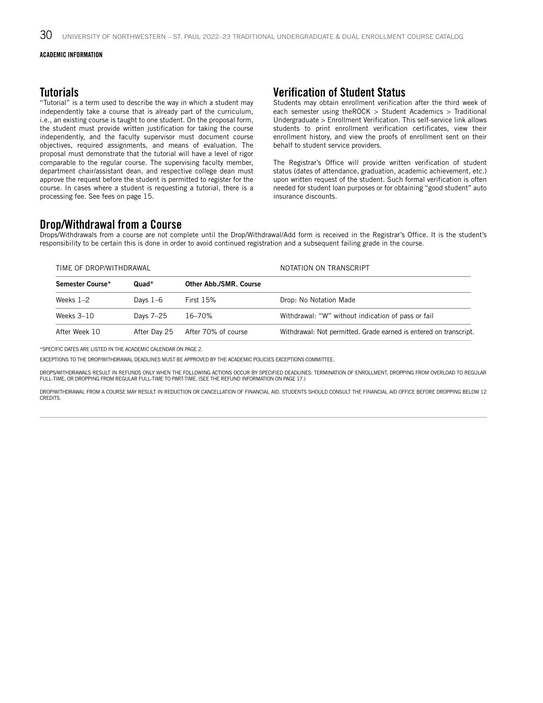### **Tutorials**

"Tutorial" is a term used to describe the way in which a student may independently take a course that is already part of the curriculum, i.e., an existing course is taught to one student. On the proposal form, the student must provide written justification for taking the course independently, and the faculty supervisor must document course objectives, required assignments, and means of evaluation. The proposal must demonstrate that the tutorial will have a level of rigor comparable to the regular course. The supervising faculty member, department chair/assistant dean, and respective college dean must approve the request before the student is permitted to register for the course. In cases where a student is requesting a tutorial, there is a processing fee. See fees on page 15.

### Verification of Student Status

Students may obtain enrollment verification after the third week of each semester using theROCK > Student Academics > Traditional Undergraduate > Enrollment Verification. This self-service link allows students to print enrollment verification certificates, view their enrollment history, and view the proofs of enrollment sent on their behalf to student service providers.

The Registrar's Office will provide written verification of student status (dates of attendance, graduation, academic achievement, etc.) upon written request of the student. Such formal verification is often needed for student loan purposes or for obtaining "good student" auto insurance discounts.

### Drop/Withdrawal from a Course

Drops/Withdrawals from a course are not complete until the Drop/Withdrawal/Add form is received in the Registrar's Office. It is the student's responsibility to be certain this is done in order to avoid continued registration and a subsequent failing grade in the course.

| TIME OF DROP/WITHDRAWAL     |              |                        | NOTATION ON TRANSCRIPT                                            |  |
|-----------------------------|--------------|------------------------|-------------------------------------------------------------------|--|
| Semester Course*<br>$Quad*$ |              | Other Abb./SMR. Course |                                                                   |  |
| Weeks $1-2$                 | Days $1-6$   | First $15%$            | Drop: No Notation Made                                            |  |
| Weeks $3-10$                | Days 7-25    | 16–70%                 | Withdrawal: "W" without indication of pass or fail                |  |
| After Week 10               | After Day 25 | After 70% of course    | Withdrawal: Not permitted. Grade earned is entered on transcript. |  |

\*SPECIFIC DATES ARE LISTED IN THE ACADEMIC CALENDAR ON PAGE 2.

EXCEPTIONS TO THE DROP/WITHDRAWAL DEADLINES MUST BE APPROVED BY THE ACADEMIC POLICIES EXCEPTIONS COMMITTEE.

DROPS/WITHDRAWALS RESULT IN REFUNDS ONLY WHEN THE FOLLOWING ACTIONS OCCUR BY SPECIFIED DEADLINES: TERMINATION OF ENROLLMENT, DROPPING FROM OVERLOAD TO REGULAR FULL-TIME, OR DROPPING FROM REGULAR FULL-TIME TO PART-TIME. (SEE THE REFUND INFORMATION ON PAGE 17.)

DROP/WITHDRAWAL FROM A COURSE MAY RESULT IN REDUCTION OR CANCELLATION OF FINANCIAL AID. STUDENTS SHOULD CONSULT THE FINANCIAL AID OFFICE BEFORE DROPPING BELOW 12 CREDITS.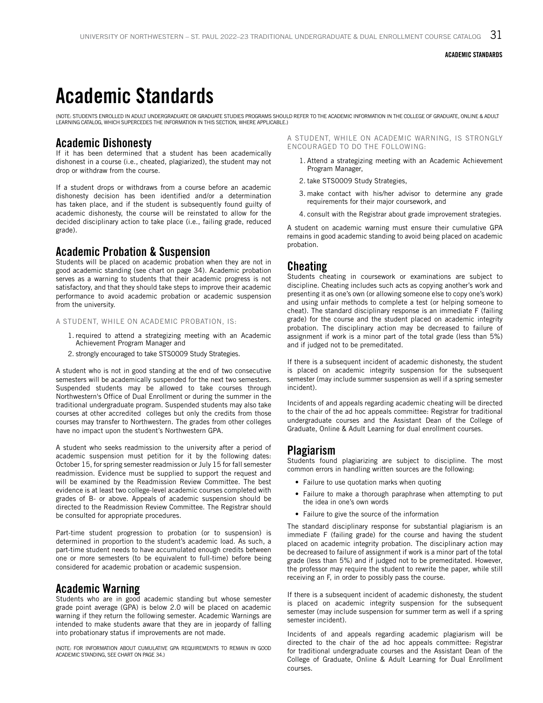## Academic Standards

(NOTE: STUDENTS ENROLLED IN ADULT UNDERGRADUATE OR GRADUATE STUDIES PROGRAMS SHOULD REFER TO THE ACADEMIC INFORMATION IN THE COLLEGE OF GRADUATE, ONLINE & ADULT<br>LEARNING CATALOG, WHICH SUPERCEDES THE INFORMATION IN THIS SE

### Academic Dishonesty

If it has been determined that a student has been academically dishonest in a course (i.e., cheated, plagiarized), the student may not drop or withdraw from the course.

If a student drops or withdraws from a course before an academic dishonesty decision has been identified and/or a determination has taken place, and if the student is subsequently found guilty of academic dishonesty, the course will be reinstated to allow for the decided disciplinary action to take place (i.e., failing grade, reduced grade).

### Academic Probation & Suspension

Students will be placed on academic probation when they are not in good academic standing (see chart on page 34). Academic probation serves as a warning to students that their academic progress is not satisfactory, and that they should take steps to improve their academic performance to avoid academic probation or academic suspension from the university.

#### A STUDENT, WHILE ON ACADEMIC PROBATION, IS:

- 1. required to attend a strategizing meeting with an Academic Achievement Program Manager and
- 2. strongly encouraged to take STS0009 Study Strategies.

A student who is not in good standing at the end of two consecutive semesters will be academically suspended for the next two semesters. Suspended students may be allowed to take courses through Northwestern's Office of Dual Enrollment or during the summer in the traditional undergraduate program. Suspended students may also take courses at other accredited colleges but only the credits from those courses may transfer to Northwestern. The grades from other colleges have no impact upon the student's Northwestern GPA.

A student who seeks readmission to the university after a period of academic suspension must petition for it by the following dates: October 15, for spring semester readmission or July 15 for fall semester readmission. Evidence must be supplied to support the request and will be examined by the Readmission Review Committee. The best evidence is at least two college-level academic courses completed with grades of B- or above. Appeals of academic suspension should be directed to the Readmission Review Committee. The Registrar should be consulted for appropriate procedures.

Part-time student progression to probation (or to suspension) is determined in proportion to the student's academic load. As such, a part-time student needs to have accumulated enough credits between one or more semesters (to be equivalent to full-time) before being considered for academic probation or academic suspension.

### Academic Warning

Students who are in good academic standing but whose semester grade point average (GPA) is below 2.0 will be placed on academic warning if they return the following semester. Academic Warnings are intended to make students aware that they are in jeopardy of falling into probationary status if improvements are not made.

(NOTE: FOR INFORMATION ABOUT CUMULATIVE GPA REQUIREMENTS TO REMAIN IN GOOD ACADEMIC STANDING, SEE CHART ON PAGE 34.)

A STUDENT, WHILE ON ACADEMIC WARNING, IS STRONGLY ENCOURAGED TO DO THE FOLLOWING:

- 1. Attend a strategizing meeting with an Academic Achievement Program Manager,
- 2. take STS0009 Study Strategies,
- 3. make contact with his/her advisor to determine any grade requirements for their major coursework, and
- 4. consult with the Registrar about grade improvement strategies.

A student on academic warning must ensure their cumulative GPA remains in good academic standing to avoid being placed on academic probation.

#### Cheating

Students cheating in coursework or examinations are subject to discipline. Cheating includes such acts as copying another's work and presenting it as one's own (or allowing someone else to copy one's work) and using unfair methods to complete a test (or helping someone to cheat). The standard disciplinary response is an immediate F (failing grade) for the course and the student placed on academic integrity probation. The disciplinary action may be decreased to failure of assignment if work is a minor part of the total grade (less than 5%) and if judged not to be premeditated.

If there is a subsequent incident of academic dishonesty, the student is placed on academic integrity suspension for the subsequent semester (may include summer suspension as well if a spring semester incident).

Incidents of and appeals regarding academic cheating will be directed to the chair of the ad hoc appeals committee: Registrar for traditional undergraduate courses and the Assistant Dean of the College of Graduate, Online & Adult Learning for dual enrollment courses.

### Plagiarism

Students found plagiarizing are subject to discipline. The most common errors in handling written sources are the following:

- Failure to use quotation marks when quoting
- Failure to make a thorough paraphrase when attempting to put the idea in one's own words
- Failure to give the source of the information

The standard disciplinary response for substantial plagiarism is an immediate F (failing grade) for the course and having the student placed on academic integrity probation. The disciplinary action may be decreased to failure of assignment if work is a minor part of the total grade (less than 5%) and if judged not to be premeditated. However, the professor may require the student to rewrite the paper, while still receiving an F, in order to possibly pass the course.

If there is a subsequent incident of academic dishonesty, the student is placed on academic integrity suspension for the subsequent semester (may include suspension for summer term as well if a spring semester incident).

Incidents of and appeals regarding academic plagiarism will be directed to the chair of the ad hoc appeals committee: Registrar for traditional undergraduate courses and the Assistant Dean of the College of Graduate, Online & Adult Learning for Dual Enrollment courses.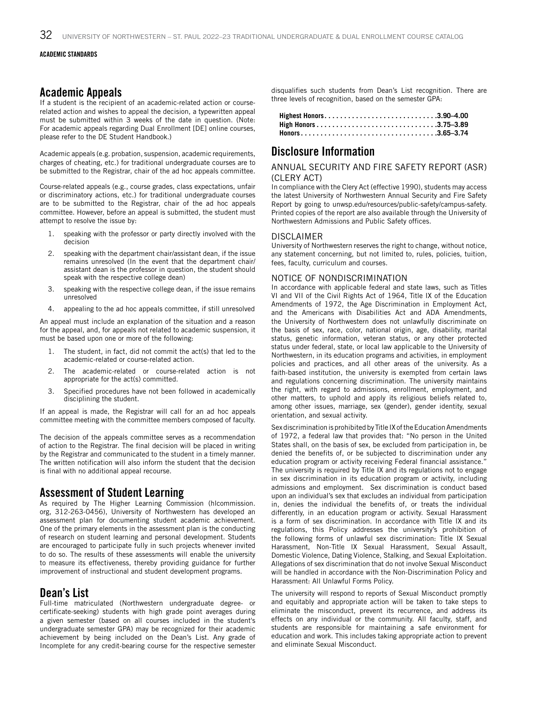### Academic Appeals

If a student is the recipient of an academic-related action or courserelated action and wishes to appeal the decision, a typewritten appeal must be submitted within 3 weeks of the date in question. (Note: For academic appeals regarding Dual Enrollment [DE] online courses, please refer to the DE Student Handbook.)

Academic appeals (e.g. probation, suspension, academic requirements, charges of cheating, etc.) for traditional undergraduate courses are to be submitted to the Registrar, chair of the ad hoc appeals committee.

Course-related appeals (e.g., course grades, class expectations, unfair or discriminatory actions, etc.) for traditional undergraduate courses are to be submitted to the Registrar, chair of the ad hoc appeals committee. However, before an appeal is submitted, the student must attempt to resolve the issue by:

- speaking with the professor or party directly involved with the decision
- 2. speaking with the department chair/assistant dean, if the issue remains unresolved (In the event that the department chair/ assistant dean is the professor in question, the student should speak with the respective college dean)
- 3. speaking with the respective college dean, if the issue remains unresolved
- 4. appealing to the ad hoc appeals committee, if still unresolved

An appeal must include an explanation of the situation and a reason for the appeal, and, for appeals not related to academic suspension, it must be based upon one or more of the following:

- 1. The student, in fact, did not commit the act(s) that led to the academic-related or course-related action.
- 2. The academic-related or course-related action is not appropriate for the act(s) committed.
- 3. Specified procedures have not been followed in academically disciplining the student.

If an appeal is made, the Registrar will call for an ad hoc appeals committee meeting with the committee members composed of faculty.

The decision of the appeals committee serves as a recommendation of action to the Registrar. The final decision will be placed in writing by the Registrar and communicated to the student in a timely manner. The written notification will also inform the student that the decision is final with no additional appeal recourse.

### Assessment of Student Learning

As required by The Higher Learning Commission (hlcommission. org, 312-263-0456), University of Northwestern has developed an assessment plan for documenting student academic achievement. One of the primary elements in the assessment plan is the conducting of research on student learning and personal development. Students are encouraged to participate fully in such projects whenever invited to do so. The results of these assessments will enable the university to measure its effectiveness, thereby providing guidance for further improvement of instructional and student development programs.

### Dean's List

Full-time matriculated (Northwestern undergraduate degree- or certificate-seeking) students with high grade point averages during a given semester (based on all courses included in the student's undergraduate semester GPA) may be recognized for their academic achievement by being included on the Dean's List. Any grade of Incomplete for any credit-bearing course for the respective semester

disqualifies such students from Dean's List recognition. There are three levels of recognition, based on the semester GPA:

| Highest Honors3.90–4.00 |  |
|-------------------------|--|
|                         |  |
|                         |  |

### Disclosure Information

#### ANNUAL SECURITY AND FIRE SAFETY REPORT (ASR) (CLERY ACT)

In compliance with the Clery Act (effective 1990), students may access the latest University of Northwestern Annual Security and Fire Safety Report by going to unwsp.edu/resources/public-safety/campus-safety. Printed copies of the report are also available through the University of Northwestern Admissions and Public Safety offices.

#### DISCLAIMER

University of Northwestern reserves the right to change, without notice, any statement concerning, but not limited to, rules, policies, tuition, fees, faculty, curriculum and courses.

#### NOTICE OF NONDISCRIMINATION

In accordance with applicable federal and state laws, such as Titles VI and VII of the Civil Rights Act of 1964, Title IX of the Education Amendments of 1972, the Age Discrimination in Employment Act, and the Americans with Disabilities Act and ADA Amendments, the University of Northwestern does not unlawfully discriminate on the basis of sex, race, color, national origin, age, disability, marital status, genetic information, veteran status, or any other protected status under federal, state, or local law applicable to the University of Northwestern, in its education programs and activities, in employment policies and practices, and all other areas of the university. As a faith-based institution, the university is exempted from certain laws and regulations concerning discrimination. The university maintains the right, with regard to admissions, enrollment, employment, and other matters, to uphold and apply its religious beliefs related to, among other issues, marriage, sex (gender), gender identity, sexual orientation, and sexual activity.

Sex discrimination is prohibited by Title IX of the Education Amendments of 1972, a federal law that provides that: "No person in the United States shall, on the basis of sex, be excluded from participation in, be denied the benefits of, or be subjected to discrimination under any education program or activity receiving Federal financial assistance." The university is required by Title IX and its regulations not to engage in sex discrimination in its education program or activity, including admissions and employment. Sex discrimination is conduct based upon an individual's sex that excludes an individual from participation in, denies the individual the benefits of, or treats the individual differently, in an education program or activity. Sexual Harassment is a form of sex discrimination. In accordance with Title IX and its regulations, this Policy addresses the university's prohibition of the following forms of unlawful sex discrimination: Title IX Sexual Harassment, Non-Title IX Sexual Harassment, Sexual Assault, Domestic Violence, Dating Violence, Stalking, and Sexual Exploitation. Allegations of sex discrimination that do not involve Sexual Misconduct will be handled in accordance with the Non-Discrimination Policy and Harassment: All Unlawful Forms Policy.

The university will respond to reports of Sexual Misconduct promptly and equitably and appropriate action will be taken to take steps to eliminate the misconduct, prevent its recurrence, and address its effects on any individual or the community. All faculty, staff, and students are responsible for maintaining a safe environment for education and work. This includes taking appropriate action to prevent and eliminate Sexual Misconduct.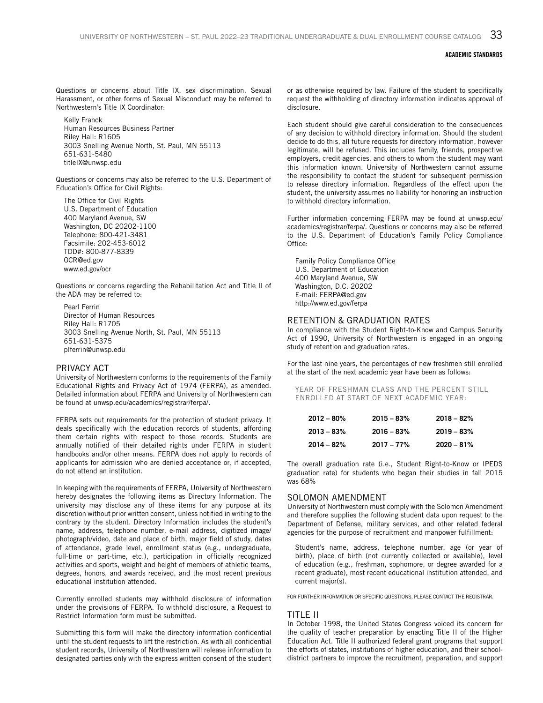Questions or concerns about Title IX, sex discrimination, Sexual Harassment, or other forms of Sexual Misconduct may be referred to Northwestern's Title IX Coordinator:

Kelly Franck Human Resources Business Partner Riley Hall: R1605 3003 Snelling Avenue North, St. Paul, MN 55113 651-631-5480 titleIX@unwsp.edu

Questions or concerns may also be referred to the U.S. Department of Education's Office for Civil Rights:

The Office for Civil Rights U.S. Department of Education 400 Maryland Avenue, SW Washington, DC 20202-1100 Telephone: 800-421-3481 Facsimile: 202-453-6012 TDD#: 800-877-8339 OCR@ed.gov www.ed.gov/ocr

Questions or concerns regarding the Rehabilitation Act and Title II of the ADA may be referred to:

Pearl Ferrin Director of Human Resources Riley Hall: R1705 3003 Snelling Avenue North, St. Paul, MN 55113 651-631-5375 plferrin@unwsp.edu

#### PRIVACY ACT

University of Northwestern conforms to the requirements of the Family Educational Rights and Privacy Act of 1974 (FERPA), as amended. Detailed information about FERPA and University of Northwestern can be found at unwsp.edu/academics/registrar/ferpa/.

FERPA sets out requirements for the protection of student privacy. It deals specifically with the education records of students, affording them certain rights with respect to those records. Students are annually notified of their detailed rights under FERPA in student handbooks and/or other means. FERPA does not apply to records of applicants for admission who are denied acceptance or, if accepted, do not attend an institution.

In keeping with the requirements of FERPA, University of Northwestern hereby designates the following items as Directory Information. The university may disclose any of these items for any purpose at its discretion without prior written consent, unless notified in writing to the contrary by the student. Directory Information includes the student's name, address, telephone number, e-mail address, digitized image/ photograph/video, date and place of birth, major field of study, dates of attendance, grade level, enrollment status (e.g., undergraduate, full-time or part-time, etc.), participation in officially recognized activities and sports, weight and height of members of athletic teams, degrees, honors, and awards received, and the most recent previous educational institution attended.

Currently enrolled students may withhold disclosure of information under the provisions of FERPA. To withhold disclosure, a Request to Restrict Information form must be submitted.

Submitting this form will make the directory information confidential until the student requests to lift the restriction. As with all confidential student records, University of Northwestern will release information to designated parties only with the express written consent of the student

or as otherwise required by law. Failure of the student to specifically request the withholding of directory information indicates approval of disclosure.

Each student should give careful consideration to the consequences of any decision to withhold directory information. Should the student decide to do this, all future requests for directory information, however legitimate, will be refused. This includes family, friends, prospective employers, credit agencies, and others to whom the student may want this information known. University of Northwestern cannot assume the responsibility to contact the student for subsequent permission to release directory information. Regardless of the effect upon the student, the university assumes no liability for honoring an instruction to withhold directory information.

Further information concerning FERPA may be found at unwsp.edu/ academics/registrar/ferpa/. Questions or concerns may also be referred to the U.S. Department of Education's Family Policy Compliance Office:

Family Policy Compliance Office U.S. Department of Education 400 Maryland Avenue, SW Washington, D.C. 20202 E-mail: FERPA@ed.gov http://www.ed.gov/ferpa

#### RETENTION & GRADUATION RATES

In compliance with the Student Right-to-Know and Campus Security Act of 1990, University of Northwestern is engaged in an ongoing study of retention and graduation rates.

For the last nine years, the percentages of new freshmen still enrolled at the start of the next academic year have been as follows:

YEAR OF FRESHMAN CLASS AND THE PERCENT STILL ENROLLED AT START OF NEXT ACADEMIC YEAR:

| $2012 - 80\%$ | $2015 - 83%$  | $2018 - 82%$  |
|---------------|---------------|---------------|
| $2013 - 83%$  | $2016 - 83\%$ | $2019 - 83%$  |
| $2014 - 82%$  | $2017 - 77\%$ | $2020 - 81\%$ |

The overall graduation rate (i.e., Student Right-to-Know or IPEDS graduation rate) for students who began their studies in fall 2015 was 68%

#### SOLOMON AMENDMENT

University of Northwestern must comply with the Solomon Amendment and therefore supplies the following student data upon request to the Department of Defense, military services, and other related federal agencies for the purpose of recruitment and manpower fulfillment:

Student's name, address, telephone number, age (or year of birth), place of birth (not currently collected or available), level of education (e.g., freshman, sophomore, or degree awarded for a recent graduate), most recent educational institution attended, and current major(s).

FOR FURTHER INFORMATION OR SPECIFIC QUESTIONS, PLEASE CONTACT THE REGISTRAR.

#### TITLE II

In October 1998, the United States Congress voiced its concern for the quality of teacher preparation by enacting Title II of the Higher Education Act. Title II authorized federal grant programs that support the efforts of states, institutions of higher education, and their schooldistrict partners to improve the recruitment, preparation, and support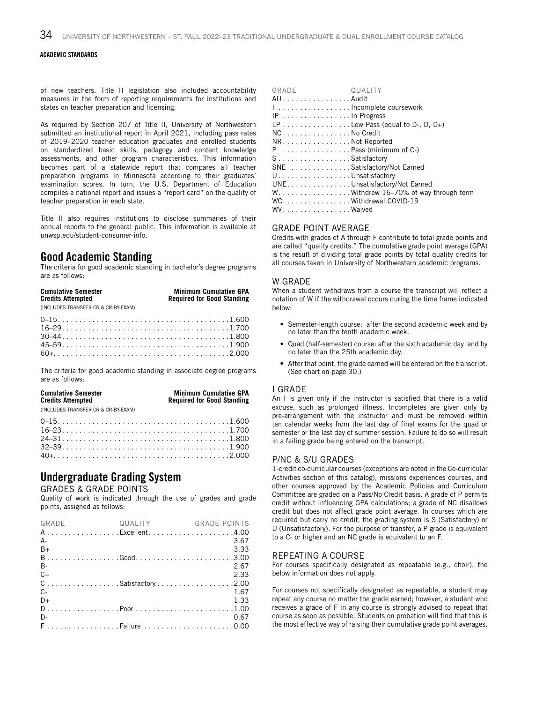of new teachers. Title II legislation also included accountability measures in the form of reporting requirements for institutions and states on teacher preparation and licensing.

As required by Section 207 of Title II. University of Northwestern submitted an institutional report in April 2021, including pass rates of 2019–2020 teacher education graduates and enrolled students on standardized basic skills, pedagogy and content knowledge assessments, and other program characteristics. This information becomes part of a statewide report that compares all teacher preparation programs in Minnesota according to their graduates' examination scores. In turn, the U.S. Department of Education compiles a national report and issues a "report card" on the quality of teacher preparation in each state.

Title II also requires institutions to disclose summaries of their annual reports to the general public. This information is available at unwsp.edu/student-consumer-info.

### Good Academic Standing

The criteria for good academic standing in bachelor's degree programs are as follows:

| <b>Cumulative Semester</b><br><b>Credits Attempted</b> | <b>Minimum Cumulative GPA</b><br><b>Required for Good Standing</b> |  |
|--------------------------------------------------------|--------------------------------------------------------------------|--|
| (INCLUDES TRANSFER CR & CR-BY-EXAM)                    |                                                                    |  |
| 1000                                                   | 1.700                                                              |  |

The criteria for good academic standing in associate degree programs are as follows:

**Cumulative Semester Minimum Cumulative GPA Credits Attempted Required for Good Standing**

(INCLUDES TRANSFER CR & CR-BY-EXAM)

| $16-23$ |  |
|---------|--|
|         |  |
| $32-39$ |  |
|         |  |
|         |  |

### Undergraduate Grading System

GRADES & GRADE POINTS

Quality of work is indicated through the use of grades and grade points, assigned as follows:

| GRADE             | QUALITY | <b>GRADE POINTS</b> |
|-------------------|---------|---------------------|
| AExcellent4.00    |         |                     |
| $A -$             |         | 3.67                |
| $B+$              |         | 3.33                |
|                   |         |                     |
| <b>B-</b>         |         | 2.67                |
| $C+$              |         | 2.33                |
| CSatisfactory2.00 |         |                     |
| $C-$              |         | 1.67                |
| D+                |         | 1.33                |
|                   |         |                     |
| D-                |         | 0.67                |
| FFailure 0.00     |         |                     |

| AUAudit                                |  |
|----------------------------------------|--|
|                                        |  |
| I Incomplete coursework                |  |
| $IP$ In Progress                       |  |
| LP Low Pass (equal to D-, D, D+)       |  |
| NC. No Credit                          |  |
| NRNot Reported                         |  |
| $P$ Pass (minimum of C-)               |  |
| SSatisfactory                          |  |
| SNE Satisfactory/Not Earned            |  |
| U. Unsatisfactory                      |  |
| UNE. Unsatisfactory/Not Earned         |  |
| W. Withdrew 16-70% of way through term |  |
| WC. Withdrawal COVID-19                |  |
| WV. Waived                             |  |

#### GRADE POINT AVERAGE

Credits with grades of A through F contribute to total grade points and are called "quality credits." The cumulative grade point average (GPA) is the result of dividing total grade points by total quality credits for all courses taken in University of Northwestern academic programs.

#### W GRADE

When a student withdraws from a course the transcript will reflect a notation of W if the withdrawal occurs during the time frame indicated below:

- Semester-length course: after the second academic week and by no later than the tenth academic week.
- Quad (half-semester) course: after the sixth academic day and by no later than the 25th academic day.
- After that point, the grade earned will be entered on the transcript. (See chart on page 30.)

#### I GRADE

An I is given only if the instructor is satisfied that there is a valid excuse, such as prolonged illness. Incompletes are given only by pre-arrangement with the instructor and must be removed within ten calendar weeks from the last day of final exams for the quad or semester or the last day of summer session. Failure to do so will result in a failing grade being entered on the transcript.

#### P/NC & S/U GRADES

1-credit co-curricular courses (exceptions are noted in the Co-curricular Activities section of this catalog), missions experiences courses, and other courses approved by the Academic Policies and Curriculum Committee are graded on a Pass/No Credit basis. A grade of P permits credit without influencing GPA calculations; a grade of NC disallows credit but does not affect grade point average. In courses which are required but carry no credit, the grading system is S (Satisfactory) or U (Unsatisfactory). For the purpose of transfer, a P grade is equivalent to a C- or higher and an NC grade is equivalent to an F.

#### REPEATING A COURSE

For courses specifically designated as repeatable (e.g., choir), the below information does not apply.

For courses not specifically designated as repeatable, a student may repeat any course no matter the grade earned; however, a student who receives a grade of F in any course is strongly advised to repeat that course as soon as possible. Students on probation will find that this is the most effective way of raising their cumulative grade point averages.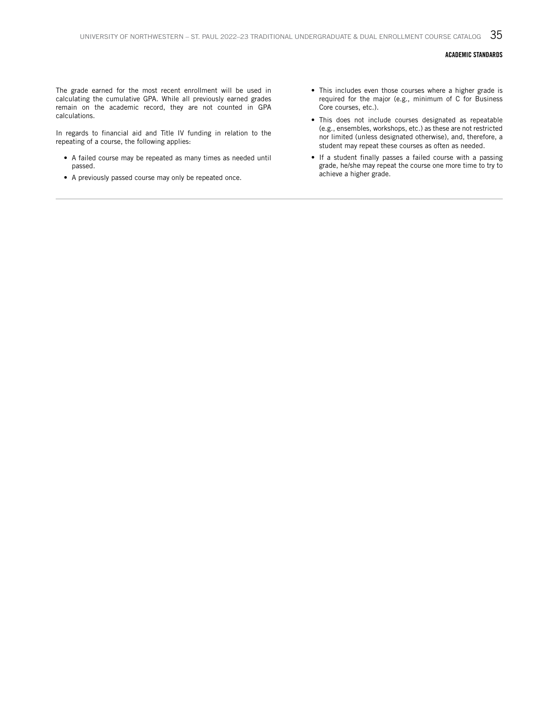The grade earned for the most recent enrollment will be used in calculating the cumulative GPA. While all previously earned grades remain on the academic record, they are not counted in GPA calculations.

In regards to financial aid and Title IV funding in relation to the repeating of a course, the following applies:

- A failed course may be repeated as many times as needed until passed.
- A previously passed course may only be repeated once.
- This includes even those courses where a higher grade is required for the major (e.g., minimum of C for Business Core courses, etc.).
- This does not include courses designated as repeatable (e.g., ensembles, workshops, etc.) as these are not restricted nor limited (unless designated otherwise), and, therefore, a student may repeat these courses as often as needed.
- If a student finally passes a failed course with a passing grade, he/she may repeat the course one more time to try to achieve a higher grade.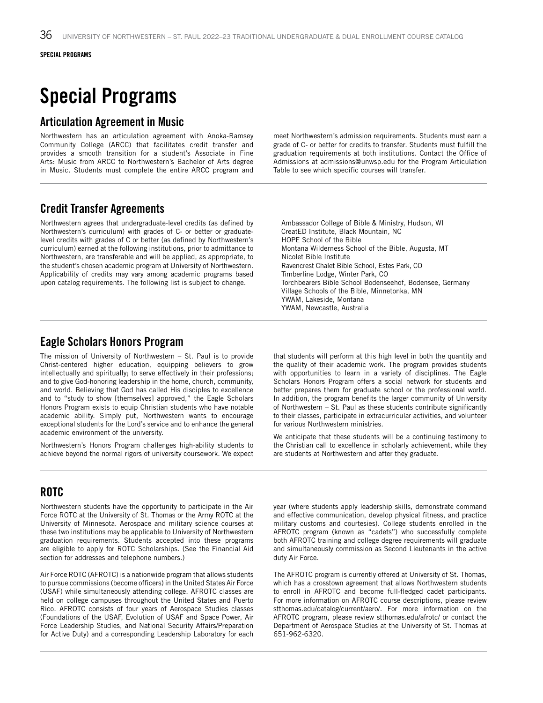## Special Programs

### Articulation Agreement in Music

Northwestern has an articulation agreement with Anoka-Ramsey Community College (ARCC) that facilitates credit transfer and provides a smooth transition for a student's Associate in Fine Arts: Music from ARCC to Northwestern's Bachelor of Arts degree in Music. Students must complete the entire ARCC program and

meet Northwestern's admission requirements. Students must earn a grade of C- or better for credits to transfer. Students must fulfill the graduation requirements at both institutions. Contact the Office of Admissions at admissions@unwsp.edu for the Program Articulation Table to see which specific courses will transfer.

### Credit Transfer Agreements

Northwestern agrees that undergraduate-level credits (as defined by Northwestern's curriculum) with grades of C- or better or graduatelevel credits with grades of C or better (as defined by Northwestern's curriculum) earned at the following institutions, prior to admittance to Northwestern, are transferable and will be applied, as appropriate, to the student's chosen academic program at University of Northwestern. Applicability of credits may vary among academic programs based upon catalog requirements. The following list is subject to change.

Ambassador College of Bible & Ministry, Hudson, WI CreatED Institute, Black Mountain, NC HOPE School of the Bible Montana Wilderness School of the Bible, Augusta, MT Nicolet Bible Institute Ravencrest Chalet Bible School, Estes Park, CO Timberline Lodge, Winter Park, CO Torchbearers Bible School Bodenseehof, Bodensee, Germany Village Schools of the Bible, Minnetonka, MN YWAM, Lakeside, Montana YWAM, Newcastle, Australia

### Eagle Scholars Honors Program

The mission of University of Northwestern – St. Paul is to provide Christ-centered higher education, equipping believers to grow intellectually and spiritually; to serve effectively in their professions; and to give God-honoring leadership in the home, church, community, and world. Believing that God has called His disciples to excellence and to "study to show [themselves] approved," the Eagle Scholars Honors Program exists to equip Christian students who have notable academic ability. Simply put, Northwestern wants to encourage exceptional students for the Lord's service and to enhance the general academic environment of the university.

Northwestern's Honors Program challenges high-ability students to achieve beyond the normal rigors of university coursework. We expect

that students will perform at this high level in both the quantity and the quality of their academic work. The program provides students with opportunities to learn in a variety of disciplines. The Eagle Scholars Honors Program offers a social network for students and better prepares them for graduate school or the professional world. In addition, the program benefits the larger community of University of Northwestern – St. Paul as these students contribute significantly to their classes, participate in extracurricular activities, and volunteer for various Northwestern ministries.

We anticipate that these students will be a continuing testimony to the Christian call to excellence in scholarly achievement, while they are students at Northwestern and after they graduate.

### ROTC

Northwestern students have the opportunity to participate in the Air Force ROTC at the University of St. Thomas or the Army ROTC at the University of Minnesota. Aerospace and military science courses at these two institutions may be applicable to University of Northwestern graduation requirements. Students accepted into these programs are eligible to apply for ROTC Scholarships. (See the Financial Aid section for addresses and telephone numbers.)

Air Force ROTC (AFROTC) is a nationwide program that allows students to pursue commissions (become officers) in the United States Air Force (USAF) while simultaneously attending college. AFROTC classes are held on college campuses throughout the United States and Puerto Rico. AFROTC consists of four years of Aerospace Studies classes (Foundations of the USAF, Evolution of USAF and Space Power, Air Force Leadership Studies, and National Security Affairs/Preparation for Active Duty) and a corresponding Leadership Laboratory for each

year (where students apply leadership skills, demonstrate command and effective communication, develop physical fitness, and practice military customs and courtesies). College students enrolled in the AFROTC program (known as "cadets") who successfully complete both AFROTC training and college degree requirements will graduate and simultaneously commission as Second Lieutenants in the active duty Air Force.

The AFROTC program is currently offered at University of St. Thomas, which has a crosstown agreement that allows Northwestern students to enroll in AFROTC and become full-fledged cadet participants. For more information on AFROTC course descriptions, please review stthomas.edu/catalog/current/aero/. For more information on the AFROTC program, please review stthomas.edu/afrotc/ or contact the Department of Aerospace Studies at the University of St. Thomas at 651-962-6320.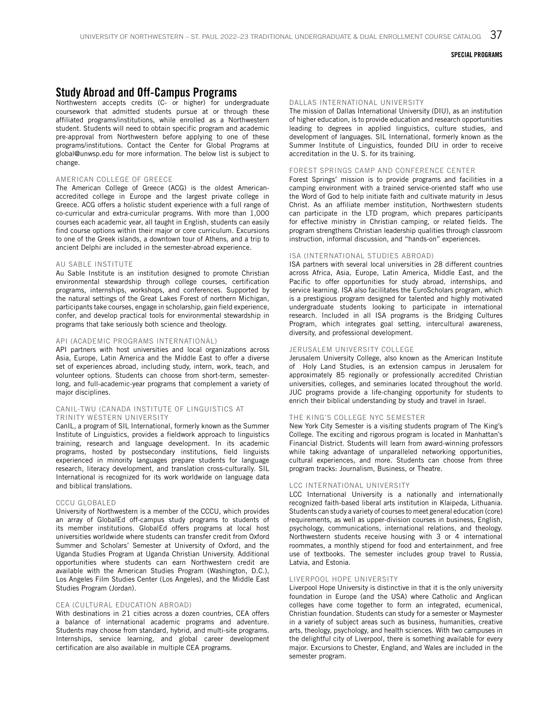### Study Abroad and Off-Campus Programs

Northwestern accepts credits (C- or higher) for undergraduate coursework that admitted students pursue at or through these affiliated programs/institutions, while enrolled as a Northwestern student. Students will need to obtain specific program and academic pre-approval from Northwestern before applying to one of these programs/institutions. Contact the Center for Global Programs at global@unwsp.edu for more information. The below list is subject to change.

#### AMERICAN COLLEGE OF GREECE

The American College of Greece (ACG) is the oldest Americanaccredited college in Europe and the largest private college in Greece. ACG offers a holistic student experience with a full range of co-curricular and extra-curricular programs. With more than 1,000 courses each academic year, all taught in English, students can easily find course options within their major or core curriculum. Excursions to one of the Greek islands, a downtown tour of Athens, and a trip to ancient Delphi are included in the semester-abroad experience.

#### AU SABLE INSTITUTE

Au Sable Institute is an institution designed to promote Christian environmental stewardship through college courses, certification programs, internships, workshops, and conferences. Supported by the natural settings of the Great Lakes Forest of northern Michigan, participants take courses, engage in scholarship, gain field experience, confer, and develop practical tools for environmental stewardship in programs that take seriously both science and theology.

#### API (ACADEMIC PROGRAMS INTERNATIONAL)

API partners with host universities and local organizations across Asia, Europe, Latin America and the Middle East to offer a diverse set of experiences abroad, including study, intern, work, teach, and volunteer options. Students can choose from short-term, semesterlong, and full-academic-year programs that complement a variety of major disciplines.

#### CANIL-TWU (CANADA INSTITUTE OF LINGUISTICS AT TRINITY WESTERN UNIVERSITY

CanIL, a program of SIL International, formerly known as the Summer Institute of Linguistics, provides a fieldwork approach to linguistics training, research and language development. In its academic programs, hosted by postsecondary institutions, field linguists experienced in minority languages prepare students for language research, literacy development, and translation cross-culturally. SIL International is recognized for its work worldwide on language data and biblical translations.

#### CCCU GLOBALED

University of Northwestern is a member of the CCCU, which provides an array of GlobalEd off-campus study programs to students of its member institutions. GlobalEd offers programs at local host universities worldwide where students can transfer credit from Oxford Summer and Scholars' Semester at University of Oxford, and the Uganda Studies Program at Uganda Christian University. Additional opportunities where students can earn Northwestern credit are available with the American Studies Program (Washington, D.C.), Los Angeles Film Studies Center (Los Angeles), and the Middle East Studies Program (Jordan).

#### CEA (CULTURAL EDUCATION ABROAD)

With destinations in 21 cities across a dozen countries, CEA offers a balance of international academic programs and adventure. Students may choose from standard, hybrid, and multi-site programs. Internships, service learning, and global career development certification are also available in multiple CEA programs.

#### DALLAS INTERNATIONAL UNIVERSITY

The mission of Dallas International University (DIU), as an institution of higher education, is to provide education and research opportunities leading to degrees in applied linguistics, culture studies, and development of languages. SIL International, formerly known as the Summer Institute of Linguistics, founded DIU in order to receive accreditation in the U. S. for its training.

#### FOREST SPRINGS CAMP AND CONFERENCE CENTER

Forest Springs' mission is to provide programs and facilities in a camping environment with a trained service-oriented staff who use the Word of God to help initiate faith and cultivate maturity in Jesus Christ. As an affiliate member institution, Northwestern students can participate in the LTD program, which prepares participants for effective ministry in Christian camping, or related fields. The program strengthens Christian leadership qualities through classroom instruction, informal discussion, and "hands-on" experiences.

#### ISA (INTERNATIONAL STUDIES ABROAD)

ISA partners with several local universities in 28 different countries across Africa, Asia, Europe, Latin America, Middle East, and the Pacific to offer opportunities for study abroad, internships, and service learning. ISA also facilitates the EuroScholars program, which is a prestigious program designed for talented and highly motivated undergraduate students looking to participate in international research. Included in all ISA programs is the Bridging Cultures Program, which integrates goal setting, intercultural awareness, diversity, and professional development.

#### JERUSALEM UNIVERSITY COLLEGE

Jerusalem University College, also known as the American Institute of Holy Land Studies, is an extension campus in Jerusalem for approximately 85 regionally or professionally accredited Christian universities, colleges, and seminaries located throughout the world. JUC programs provide a life-changing opportunity for students to enrich their biblical understanding by study and travel in Israel.

#### THE KING'S COLLEGE NYC SEMESTER

New York City Semester is a visiting students program of The King's College. The exciting and rigorous program is located in Manhattan's Financial District. Students will learn from award-winning professors while taking advantage of unparalleled networking opportunities, cultural experiences, and more. Students can choose from three program tracks: Journalism, Business, or Theatre.

#### LCC INTERNATIONAL UNIVERSITY

LCC International University is a nationally and internationally recognized faith-based liberal arts institution in Klaipėda, Lithuania. Students can study a variety of courses to meet general education (core) requirements, as well as upper-division courses in business, English, psychology, communications, international relations, and theology. Northwestern students receive housing with 3 or 4 international roommates, a monthly stipend for food and entertainment, and free use of textbooks. The semester includes group travel to Russia, Latvia, and Estonia.

#### LIVERPOOL HOPE UNIVERSITY

Liverpool Hope University is distinctive in that it is the only university foundation in Europe (and the USA) where Catholic and Anglican colleges have come together to form an integrated, ecumenical, Christian foundation. Students can study for a semester or Maymester in a variety of subject areas such as business, humanities, creative arts, theology, psychology, and health sciences. With two campuses in the delightful city of Liverpool, there is something available for every major. Excursions to Chester, England, and Wales are included in the semester program.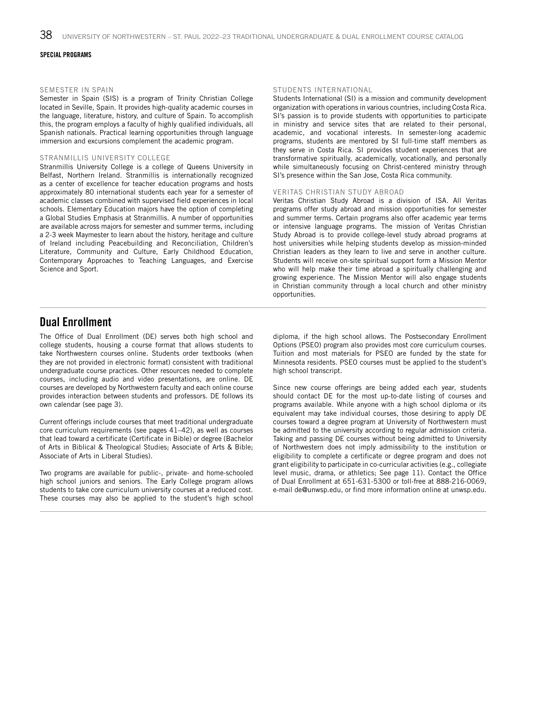#### SPECIAL PROGRAMS

#### SEMESTER IN SPAIN

Semester in Spain (SIS) is a program of Trinity Christian College located in Seville, Spain. It provides high-quality academic courses in the language, literature, history, and culture of Spain. To accomplish this, the program employs a faculty of highly qualified individuals, all Spanish nationals. Practical learning opportunities through language immersion and excursions complement the academic program.

#### STRANMILLIS UNIVERSITY COLLEGE

Stranmillis University College is a college of Queens University in Belfast, Northern Ireland. Stranmillis is internationally recognized as a center of excellence for teacher education programs and hosts approximately 80 international students each year for a semester of academic classes combined with supervised field experiences in local schools. Elementary Education majors have the option of completing a Global Studies Emphasis at Stranmillis. A number of opportunities are available across majors for semester and summer terms, including a 2-3 week Maymester to learn about the history, heritage and culture of Ireland including Peacebuilding and Reconciliation, Children's Literature, Community and Culture, Early Childhood Education, Contemporary Approaches to Teaching Languages, and Exercise Science and Sport.

#### STUDENTS INTERNATIONAL

Students International (SI) is a mission and community development organization with operations in various countries, including Costa Rica. SI's passion is to provide students with opportunities to participate in ministry and service sites that are related to their personal, academic, and vocational interests. In semester-long academic programs, students are mentored by SI full-time staff members as they serve in Costa Rica. SI provides student experiences that are transformative spiritually, academically, vocationally, and personally while simultaneously focusing on Christ-centered ministry through SI's presence within the San Jose, Costa Rica community.

#### VERITAS CHRISTIAN STUDY ABROAD

Veritas Christian Study Abroad is a division of ISA. All Veritas programs offer study abroad and mission opportunities for semester and summer terms. Certain programs also offer academic year terms or intensive language programs. The mission of Veritas Christian Study Abroad is to provide college-level study abroad programs at host universities while helping students develop as mission-minded Christian leaders as they learn to live and serve in another culture. Students will receive on-site spiritual support form a Mission Mentor who will help make their time abroad a spiritually challenging and growing experience. The Mission Mentor will also engage students in Christian community through a local church and other ministry opportunities.

### Dual Enrollment

The Office of Dual Enrollment (DE) serves both high school and college students, housing a course format that allows students to take Northwestern courses online. Students order textbooks (when they are not provided in electronic format) consistent with traditional undergraduate course practices. Other resources needed to complete courses, including audio and video presentations, are online. DE courses are developed by Northwestern faculty and each online course provides interaction between students and professors. DE follows its own calendar (see page 3).

Current offerings include courses that meet traditional undergraduate core curriculum requirements (see pages 41–42), as well as courses that lead toward a certificate (Certificate in Bible) or degree (Bachelor of Arts in Biblical & Theological Studies; Associate of Arts & Bible; Associate of Arts in Liberal Studies).

Two programs are available for public-, private- and home-schooled high school juniors and seniors. The Early College program allows students to take core curriculum university courses at a reduced cost. These courses may also be applied to the student's high school diploma, if the high school allows. The Postsecondary Enrollment Options (PSEO) program also provides most core curriculum courses. Tuition and most materials for PSEO are funded by the state for Minnesota residents. PSEO courses must be applied to the student's high school transcript.

Since new course offerings are being added each year, students should contact DE for the most up-to-date listing of courses and programs available. While anyone with a high school diploma or its equivalent may take individual courses, those desiring to apply DE courses toward a degree program at University of Northwestern must be admitted to the university according to regular admission criteria. Taking and passing DE courses without being admitted to University of Northwestern does not imply admissibility to the institution or eligibility to complete a certificate or degree program and does not grant eligibility to participate in co-curricular activities (e.g., collegiate level music, drama, or athletics; See page 11). Contact the Office of Dual Enrollment at 651-631-5300 or toll-free at 888-216-0069, e-mail de@unwsp.edu, or find more information online at unwsp.edu.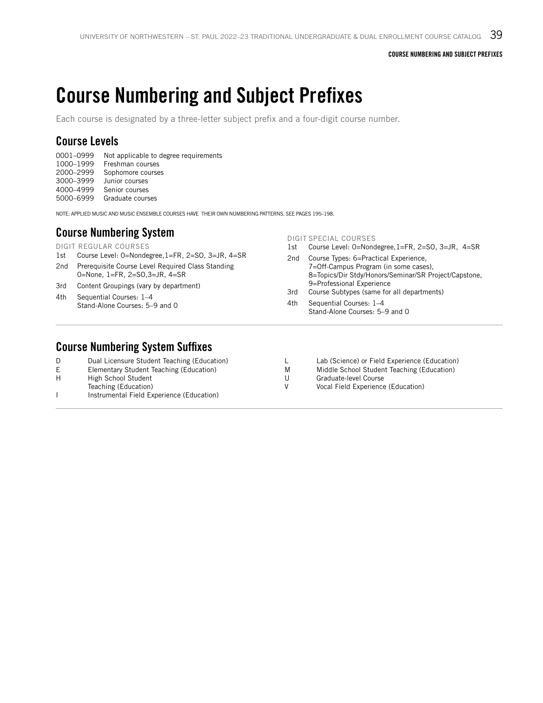## Course Numbering and Subject Prefixes

Each course is designated by a three-letter subject prefix and a four-digit course number.

### Course Levels

0001–0999 Not applicable to degree requirements 1000–1999 Freshman courses 2000–2999 Sophomore courses 3000–3999 Junior courses

4000–4999 Senior courses

5000–6999 Graduate courses

NOTE: APPLIED MUSIC AND MUSIC ENSEMBLE COURSES HAVE THEIR OWN NUMBERING PATTERNS. SEE PAGES 195–198.

### Course Numbering System

DIGIT REGULAR COURSES

- 1st Course Level: 0=Nondegree,1=FR, 2=SO, 3=JR, 4=SR
- 2nd Prerequisite Course Level Required Class Standing 0=None, 1=FR, 2=SO,3=JR, 4=SR
- 3rd Content Groupings (vary by department)
- 4th Sequential Courses: 1–4 Stand-Alone Courses: 5–9 and 0

#### DIGIT SPECIAL COURSES

- 1st Course Level: 0=Nondegree,1=FR, 2=SO, 3=JR, 4=SR
- 2nd Course Types: 6=Practical Experience, 7=Off-Campus Program (in some cases), 8=Topics/Dir Stdy/Honors/Seminar/SR Project/Capstone, 9=Professional Experience
- 3rd Course Subtypes (same for all departments) 4th Sequential Courses: 1–4 Stand-Alone Courses: 5–9 and 0

### Course Numbering System Suffixes

|    | Dual Licensure Student Teaching (Education) |   | Lab (Science) or Field Experience (Education) |
|----|---------------------------------------------|---|-----------------------------------------------|
| E. | Elementary Student Teaching (Education)     | M | Middle School Student Teaching (Education)    |
| H  | High School Student                         |   | Graduate-level Course                         |
|    | Teaching (Education)                        |   | Vocal Field Experience (Education)            |
|    | Instrumental Field Experience (Education)   |   |                                               |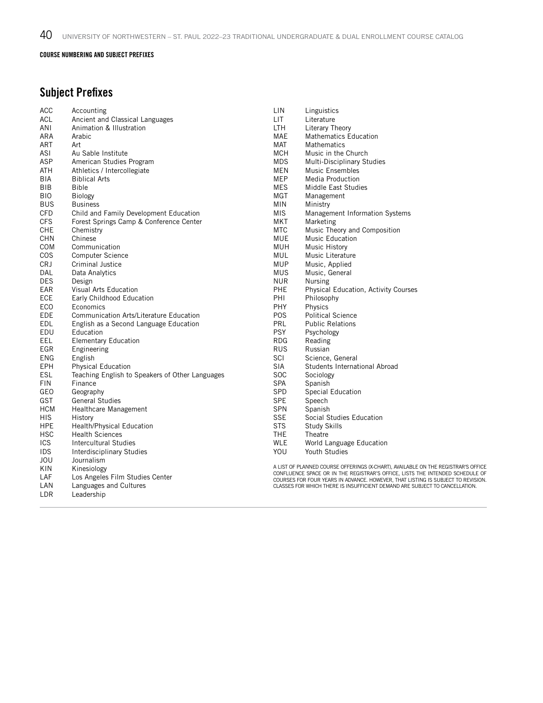#### COURSE NUMBERING AND SUBJECT PREFIXES

### Subject Prefixes

| ACC        | Accounting                                      | LIN        | Linguistics                                                                                                                                                       |
|------------|-------------------------------------------------|------------|-------------------------------------------------------------------------------------------------------------------------------------------------------------------|
| <b>ACL</b> | Ancient and Classical Languages                 | <b>LIT</b> | Literature                                                                                                                                                        |
| ANI        | Animation & Illustration                        | <b>LTH</b> | Literary Theory                                                                                                                                                   |
| ARA        | Arabic                                          | <b>MAE</b> | <b>Mathematics Education</b>                                                                                                                                      |
| <b>ART</b> | Art                                             | <b>MAT</b> | <b>Mathematics</b>                                                                                                                                                |
| ASI        | Au Sable Institute                              | <b>MCH</b> | Music in the Church                                                                                                                                               |
| ASP        | American Studies Program                        | <b>MDS</b> | Multi-Disciplinary Studies                                                                                                                                        |
| <b>ATH</b> | Athletics / Intercollegiate                     | <b>MEN</b> | Music Ensembles                                                                                                                                                   |
| <b>BIA</b> | <b>Biblical Arts</b>                            | <b>MEP</b> | Media Production                                                                                                                                                  |
| BIB        | Bible                                           | MES.       | Middle East Studies                                                                                                                                               |
| <b>BIO</b> | <b>Biology</b>                                  | <b>MGT</b> | Management                                                                                                                                                        |
| <b>BUS</b> | <b>Business</b>                                 | MIN        | Ministry                                                                                                                                                          |
| <b>CFD</b> | Child and Family Development Education          | <b>MIS</b> | Management Information Systems                                                                                                                                    |
| <b>CFS</b> | Forest Springs Camp & Conference Center         | <b>MKT</b> | Marketing                                                                                                                                                         |
| <b>CHE</b> | Chemistry                                       | MTC        | Music Theory and Composition                                                                                                                                      |
| <b>CHN</b> | Chinese                                         | <b>MUE</b> | Music Education                                                                                                                                                   |
| COM        | Communication                                   | MUH        | <b>Music History</b>                                                                                                                                              |
| COS        | <b>Computer Science</b>                         | <b>MUL</b> | Music Literature                                                                                                                                                  |
| CRJ        | <b>Criminal Justice</b>                         | <b>MUP</b> | Music, Applied                                                                                                                                                    |
| DAL        | Data Analytics                                  | <b>MUS</b> | Music, General                                                                                                                                                    |
| <b>DES</b> | Design                                          | <b>NUR</b> | <b>Nursing</b>                                                                                                                                                    |
| EAR        | Visual Arts Education                           | PHE        | <b>Physical Education, Activity Courses</b>                                                                                                                       |
| ECE        | Early Childhood Education                       | PHI        | Philosophy                                                                                                                                                        |
| ECO        | Economics                                       | PHY        | Physics                                                                                                                                                           |
| <b>EDE</b> | <b>Communication Arts/Literature Education</b>  | <b>POS</b> | <b>Political Science</b>                                                                                                                                          |
| <b>EDL</b> | English as a Second Language Education          | PRL        | <b>Public Relations</b>                                                                                                                                           |
| EDU        | Education                                       | <b>PSY</b> | Psychology                                                                                                                                                        |
| EEL        | <b>Elementary Education</b>                     | <b>RDG</b> | Reading                                                                                                                                                           |
| EGR        | Engineering                                     | <b>RUS</b> | Russian                                                                                                                                                           |
| <b>ENG</b> | English                                         | SCI        | Science, General                                                                                                                                                  |
| <b>EPH</b> | <b>Physical Education</b>                       | <b>SIA</b> | Students International Abroad                                                                                                                                     |
| <b>ESL</b> | Teaching English to Speakers of Other Languages | <b>SOC</b> | Sociology                                                                                                                                                         |
| <b>FIN</b> | Finance                                         | <b>SPA</b> | Spanish                                                                                                                                                           |
| GEO        | Geography                                       | SPD        | Special Education                                                                                                                                                 |
| <b>GST</b> | <b>General Studies</b>                          | <b>SPE</b> | Speech                                                                                                                                                            |
| HCM        | Healthcare Management                           | <b>SPN</b> | Spanish                                                                                                                                                           |
| <b>HIS</b> | History                                         | <b>SSE</b> | Social Studies Education                                                                                                                                          |
| <b>HPE</b> | Health/Physical Education                       | <b>STS</b> | <b>Study Skills</b>                                                                                                                                               |
| <b>HSC</b> | <b>Health Sciences</b>                          | <b>THE</b> | Theatre                                                                                                                                                           |
| <b>ICS</b> | Intercultural Studies                           | <b>WLE</b> | World Language Education                                                                                                                                          |
| <b>IDS</b> | Interdisciplinary Studies                       | YOU        | Youth Studies                                                                                                                                                     |
| JOU        | Journalism                                      |            |                                                                                                                                                                   |
| KIN        | Kinesiology                                     |            | A LIST OF PLANNED COURSE OFFERINGS (X-CHART), AVAILABLE ON THE REGISTRAR'S OFFICE                                                                                 |
| LAF        | Los Angeles Film Studies Center                 |            | CONFLUENCE SPACE OR IN THE REGISTRAR'S OFFICE, LISTS THE INTENDED SCHEDULE OF<br>COURSES FOR FOUR YEARS IN ADVANCE. HOWEVER, THAT LISTING IS SUBJECT TO REVISION. |
| LAN        | Languages and Cultures                          |            | CLASSES FOR WHICH THERE IS INSUFFICIENT DEMAND ARE SUBJECT TO CANCELLATION.                                                                                       |
| LDR        | Leadership                                      |            |                                                                                                                                                                   |
|            |                                                 |            |                                                                                                                                                                   |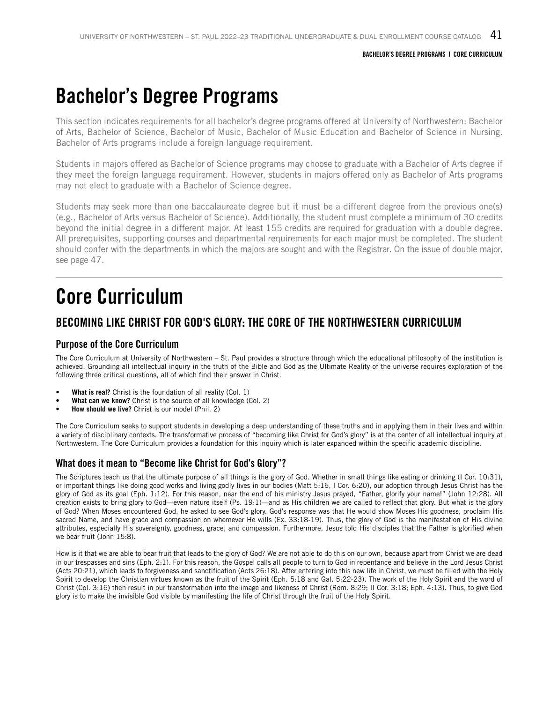## Bachelor's Degree Programs

This section indicates requirements for all bachelor's degree programs offered at University of Northwestern: Bachelor of Arts, Bachelor of Science, Bachelor of Music, Bachelor of Music Education and Bachelor of Science in Nursing. Bachelor of Arts programs include a foreign language requirement.

Students in majors offered as Bachelor of Science programs may choose to graduate with a Bachelor of Arts degree if they meet the foreign language requirement. However, students in majors offered only as Bachelor of Arts programs may not elect to graduate with a Bachelor of Science degree.

Students may seek more than one baccalaureate degree but it must be a different degree from the previous one(s) (e.g., Bachelor of Arts versus Bachelor of Science). Additionally, the student must complete a minimum of 30 credits beyond the initial degree in a different major. At least 155 credits are required for graduation with a double degree. All prerequisites, supporting courses and departmental requirements for each major must be completed. The student should confer with the departments in which the majors are sought and with the Registrar. On the issue of double major, see page 47.

## Core Curriculum

### BECOMING LIKE CHRIST FOR GOD'S GLORY: THE CORE OF THE NORTHWESTERN CURRICULUM

### Purpose of the Core Curriculum

The Core Curriculum at University of Northwestern – St. Paul provides a structure through which the educational philosophy of the institution is achieved. Grounding all intellectual inquiry in the truth of the Bible and God as the Ultimate Reality of the universe requires exploration of the following three critical questions, all of which find their answer in Christ.

- **• What is real?** Christ is the foundation of all reality (Col. 1)
- **• What can we know?** Christ is the source of all knowledge (Col. 2)
- **• How should we live?** Christ is our model (Phil. 2)

The Core Curriculum seeks to support students in developing a deep understanding of these truths and in applying them in their lives and within a variety of disciplinary contexts. The transformative process of "becoming like Christ for God's glory" is at the center of all intellectual inquiry at Northwestern. The Core Curriculum provides a foundation for this inquiry which is later expanded within the specific academic discipline.

### What does it mean to "Become like Christ for God's Glory"?

The Scriptures teach us that the ultimate purpose of all things is the glory of God. Whether in small things like eating or drinking (I Cor. 10:31), or important things like doing good works and living godly lives in our bodies (Matt 5:16, I Cor. 6:20), our adoption through Jesus Christ has the glory of God as its goal (Eph. 1:12). For this reason, near the end of his ministry Jesus prayed, "Father, glorify your name!" (John 12:28). All creation exists to bring glory to God—even nature itself (Ps. 19:1)—and as His children we are called to reflect that glory. But what is the glory of God? When Moses encountered God, he asked to see God's glory. God's response was that He would show Moses His goodness, proclaim His sacred Name, and have grace and compassion on whomever He wills (Ex. 33:18-19). Thus, the glory of God is the manifestation of His divine attributes, especially His sovereignty, goodness, grace, and compassion. Furthermore, Jesus told His disciples that the Father is glorified when we bear fruit (John 15:8).

How is it that we are able to bear fruit that leads to the glory of God? We are not able to do this on our own, because apart from Christ we are dead in our trespasses and sins (Eph. 2:1). For this reason, the Gospel calls all people to turn to God in repentance and believe in the Lord Jesus Christ (Acts 20:21), which leads to forgiveness and sanctification (Acts 26:18). After entering into this new life in Christ, we must be filled with the Holy Spirit to develop the Christian virtues known as the fruit of the Spirit (Eph. 5:18 and Gal. 5:22-23). The work of the Holy Spirit and the word of Christ (Col. 3:16) then result in our transformation into the image and likeness of Christ (Rom. 8:29; II Cor. 3:18; Eph. 4:13). Thus, to give God glory is to make the invisible God visible by manifesting the life of Christ through the fruit of the Holy Spirit.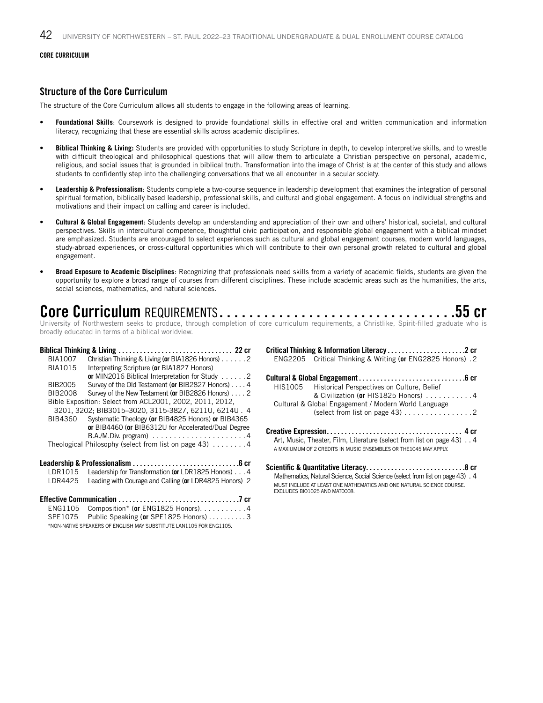#### **CORE CURRICULUM**

#### Structure of the Core Curriculum

The structure of the Core Curriculum allows all students to engage in the following areas of learning.

- **• Foundational Skills**: Coursework is designed to provide foundational skills in effective oral and written communication and information literacy, recognizing that these are essential skills across academic disciplines.
- **• Biblical Thinking & Living:** Students are provided with opportunities to study Scripture in depth, to develop interpretive skills, and to wrestle with difficult theological and philosophical questions that will allow them to articulate a Christian perspective on personal, academic, religious, and social issues that is grounded in biblical truth. Transformation into the image of Christ is at the center of this study and allows students to confidently step into the challenging conversations that we all encounter in a secular society.
- **• Leadership & Professionalism**: Students complete a two-course sequence in leadership development that examines the integration of personal spiritual formation, biblically based leadership, professional skills, and cultural and global engagement. A focus on individual strengths and motivations and their impact on calling and career is included.
- **• Cultural & Global Engagement**: Students develop an understanding and appreciation of their own and others' historical, societal, and cultural perspectives. Skills in intercultural competence, thoughtful civic participation, and responsible global engagement with a biblical mindset are emphasized. Students are encouraged to select experiences such as cultural and global engagement courses, modern world languages, study-abroad experiences, or cross-cultural opportunities which will contribute to their own personal growth related to cultural and global engagement.
- **• Broad Exposure to Academic Disciplines**: Recognizing that professionals need skills from a variety of academic fields, students are given the opportunity to explore a broad range of courses from different disciplines. These include academic areas such as the humanities, the arts, social sciences, mathematics, and natural sciences.

## Core Curriculum REQUIREMENTS. 55 cr

University of Northwestern seeks to produce, through completion of core curriculum requirements, a Christlike, Spirit-filled graduate who is broadly educated in terms of a biblical worldview.

#### Biblical Thinking & Living. . . 22 cr

| <b>BIA1007</b> | Christian Thinking & Living (or BIA1826 Honors) 2                  |
|----------------|--------------------------------------------------------------------|
| <b>BIA1015</b> | Interpreting Scripture (or BIA1827 Honors)                         |
|                | or MIN2016 Biblical Interpretation for Study 2                     |
| BIB2005        | Survey of the Old Testament (or BIB2827 Honors) 4                  |
| <b>BIB2008</b> | Survey of the New Testament (or BIB2826 Honors) 2                  |
|                | Bible Exposition: Select from ACL2001, 2002, 2011, 2012.           |
|                | 3201, 3202; BIB3015-3020, 3115-3827, 6211U, 6214U. 4               |
| BIB4360        | Systematic Theology (or BIB4825 Honors) or BIB4365                 |
|                | or BIB4460 (or BIB6312U for Accelerated/Dual Degree                |
|                | $B.A.M.Div. program) \ldots \ldots \ldots \ldots \ldots \ldots 4$  |
|                | Theological Philosophy (select from list on page 43) $\dots \dots$ |
|                |                                                                    |
| LDR1015        | Leadership for Transformation (or LDR1825 Honors) 4                |
|                |                                                                    |
| LDR4425        | Leading with Courage and Calling (or LDR4825 Honors) 2             |
|                |                                                                    |
|                | $\cdots$ $\cdots$ $\cdots$ $\cdots$ $\cdots$ $\cdots$ $\cdots$     |

#### ENG1105 Composition\* (**or** ENG1825 Honors). . 4 SPE1075 Public Speaking (or SPE1825 Honors) . . . . . . . . . 3 \*NON-NATIVE SPEAKERS OF ENGLISH MAY SUBSTITUTE LAN1105 FOR ENG1105.

| ENG2205 Critical Thinking & Writing (or ENG2825 Honors). 2                                                                                                                                         |
|----------------------------------------------------------------------------------------------------------------------------------------------------------------------------------------------------|
| Cultural & Global Engagement $\ldots \ldots \ldots \ldots \ldots \ldots \ldots \ldots \ldots \ldots$<br>HIS1005 Historical Perspectives on Culture, Belief<br>& Civilization (or HIS1825 Honors) 4 |
| Cultural & Global Engagement / Modern World Language                                                                                                                                               |
| Art, Music, Theater, Film, Literature (select from list on page 43) 4<br>A MAXIUMUM OF 2 CREDITS IN MUSIC ENSEMBLES OR THE 1045 MAY APPLY.                                                         |
|                                                                                                                                                                                                    |

Critical Thinking & Information Literacy. . 2 cr

Mathematics, Natural Science, Social Science (select from list on page 43). . 4 MUST INCLUDE AT LEAST ONE MATHEMATICS AND ONE NATURAL SCIENCE COURSE. EXCLUDES BIO1025 AND MAT0008.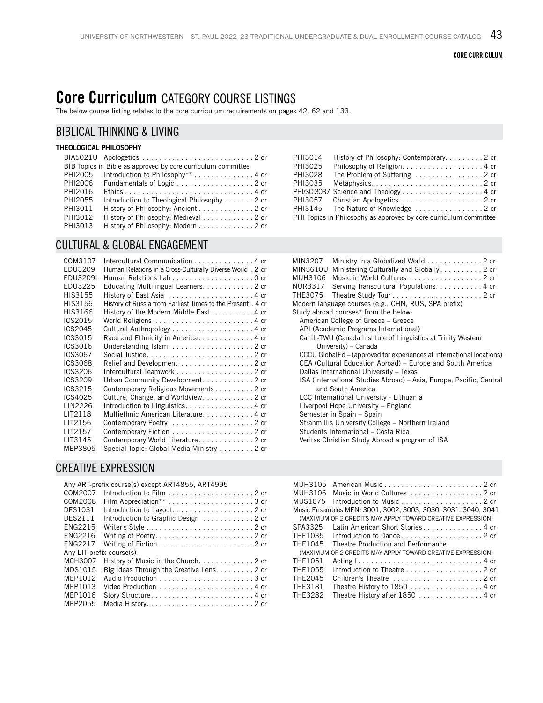## Core Curriculum CATEGORY COURSE LISTINGS

The below course listing relates to the core curriculum requirements on pages 42, 62 and 133.

### BIBLICAL THINKING & LIVING

#### THEOLOGICAL PHILOSOPHY  $DIAEO21II$  Apologeti

|         | BIB Topics in Bible as approved by core curriculum committee  |
|---------|---------------------------------------------------------------|
| PHI2005 | Introduction to Philosophy** 4 cr                             |
| PHI2006 | Fundamentals of Logic 2 cr                                    |
| PHI2016 |                                                               |
| PHI2055 | Introduction to Theological Philosophy $\ldots \ldots$ . 2 cr |
| PHI3011 | History of Philosophy: Ancient 2 cr                           |
| PHI3012 | History of Philosophy: Medieval 2 cr                          |
| PHI3013 | History of Philosophy: Modern 2 cr                            |
|         |                                                               |

### CULTURAL & GLOBAL ENGAGEMENT

| COM3107  | Intercultural Communication 4 cr                            |
|----------|-------------------------------------------------------------|
| EDU3209  | Human Relations in a Cross-Culturally Diverse World . 2 cr  |
| EDU3209L |                                                             |
| EDU3225  | Educating Multilingual Learners. 2 cr                       |
| HIS3155  |                                                             |
| HIS3156  | History of Russia from Earliest Times to the Present . 4 cr |
| HIS3166  | History of the Modern Middle East 4 cr                      |
| ICS2015  |                                                             |
| ICS2045  |                                                             |
| ICS3015  | Race and Ethnicity in America4 cr                           |
| ICS3016  |                                                             |
| ICS3067  |                                                             |
| ICS3068  | Relief and Development 2 cr                                 |
| ICS3206  | Intercultural Teamwork 2 cr                                 |
| ICS3209  | Urban Community Development. 2 cr                           |
| ICS3215  | Contemporary Religious Movements 2 cr                       |
| ICS4025  | Culture, Change, and Worldview. 2 cr                        |
| LIN2226  | Introduction to Linguistics4 cr                             |
| LIT2118  | Multiethnic American Literature4 cr                         |
| LIT2156  | Contemporary Poetry2 cr                                     |
| LIT2157  |                                                             |
| LIT3145  | Contemporary World Literature2 cr                           |
| MEP3805  | Special Topic: Global Media Ministry 2 cr                   |
|          |                                                             |

### CREATIVE EXPRESSION

|                          | Any ART-prefix course(s) except ART4855, ART4995 |
|--------------------------|--------------------------------------------------|
| COM2007                  | Introduction to Film $\ldots$ , 2 cr             |
| COM2008                  |                                                  |
| <b>DES1031</b>           |                                                  |
| DFS2111                  | Introduction to Graphic Design 2 cr              |
| <b>ENG2215</b>           |                                                  |
| <b>FNG2216</b>           |                                                  |
| <b>FNG2217</b>           |                                                  |
| Any LIT-prefix course(s) |                                                  |
| MCH3007                  | History of Music in the Church. 2 cr             |
| MDS1015                  | Big Ideas Through the Creative Lens. 2 cr        |
| MFP1012                  |                                                  |
| MEP1013                  |                                                  |
| MEP1016                  |                                                  |
| MFP2055                  |                                                  |
|                          |                                                  |

| PHI3014 | History of Philosophy: Contemporary. 2 cr                         |
|---------|-------------------------------------------------------------------|
| PHI3025 |                                                                   |
| PHI3028 |                                                                   |
| PHI3035 |                                                                   |
|         | PHI/SCI3037 Science and Theology4 cr                              |
|         | PHI3057 Christian Apologetics 2 cr                                |
|         | PHI3145 The Nature of Knowledge 2 cr                              |
|         | PHI Topics in Philosophy as approved by core curriculum committee |
|         |                                                                   |

| MIN3207  | Ministry in a Globalized World 2 cr                                   |
|----------|-----------------------------------------------------------------------|
| MIN5610U | Ministering Culturally and Globally. 2 cr                             |
| MUH3106  | Music in World Cultures 2 cr                                          |
| NUR3317  | Serving Transcultural Populations. 4 cr                               |
| THE3075  |                                                                       |
|          | Modern language courses (e.g., CHN, RUS, SPA prefix)                  |
|          | Study abroad courses* from the below:                                 |
|          | American College of Greece – Greece                                   |
|          | API (Academic Programs International)                                 |
|          | CanIL-TWU (Canada Institute of Linguistics at Trinity Western         |
|          | University) - Canada                                                  |
|          | CCCU GlobalEd – (approved for experiences at international locations) |
|          | CEA (Cultural Education Abroad) – Europe and South America            |
|          | Dallas International University - Texas                               |
|          | ISA (International Studies Abroad) – Asia, Europe, Pacific, Central   |
|          | and South America                                                     |
|          | LCC International University - Lithuania                              |
|          | Liverpool Hope University - England                                   |
|          | Semester in Spain - Spain                                             |
|          | Stranmillis University College - Northern Ireland                     |
|          | Students International - Costa Rica                                   |
|          | Veritas Christian Study Abroad a program of ISA                       |

| MUH3105 |                                                                                   |
|---------|-----------------------------------------------------------------------------------|
| MUH3106 | Music in World Cultures 2 cr                                                      |
| MUS1075 |                                                                                   |
|         | Music Ensembles MEN: 3001, 3002, 3003, 3030, 3031, 3040, 3041                     |
|         | (MAXIMUM OF 2 CREDITS MAY APPLY TOWARD CREATIVE EXPRESSION)                       |
| SPA3325 | Latin American Short Stories4 cr                                                  |
| THF1035 | Introduction to Dance $\ldots$ , $\ldots$ , $\ldots$ , $\ldots$ , $\ldots$ , 2 cr |
| THE1045 | Theatre Production and Performance                                                |
|         | (MAXIMUM OF 2 CREDITS MAY APPLY TOWARD CREATIVE EXPRESSION)                       |
| THE1051 | Acting $1, \ldots, \ldots, \ldots, \ldots, \ldots, \ldots, \ldots, \ldots, 4$ cr  |
| THF1055 | Introduction to Theatre 2 cr                                                      |
| THF2045 | Children's Theatre 2 cr                                                           |
| THE3181 | Theatre History to 1850 4 cr                                                      |
| THF3282 | Theatre History after 1850 4 cr                                                   |
|         |                                                                                   |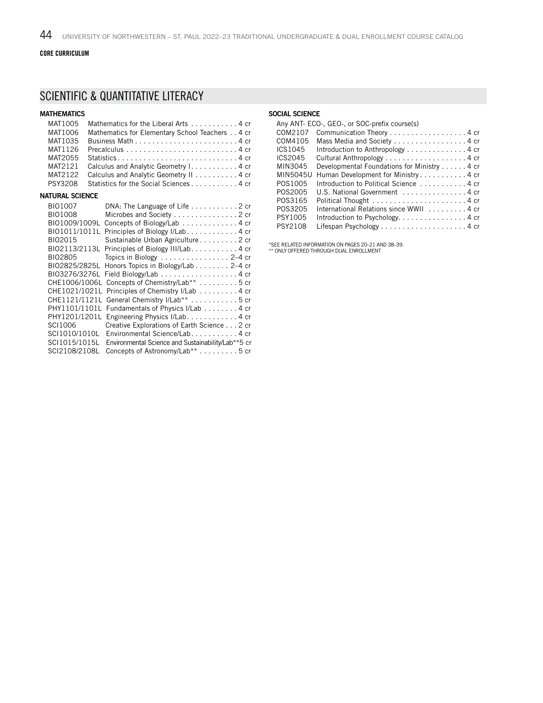#### CORE CURRICULUM

### SCIENTIFIC & QUANTITATIVE LITERACY

| <b>MATHEMATICS</b>     |                                                                                   |
|------------------------|-----------------------------------------------------------------------------------|
| MAT1005                | Mathematics for the Liberal Arts 4 cr                                             |
| MAT1006                | Mathematics for Elementary School Teachers 4 cr                                   |
| MAT1035                |                                                                                   |
| MAT1126                | Precalculus $\ldots \ldots \ldots \ldots \ldots \ldots \ldots \ldots \ldots 4$ cr |
| MAT2055                |                                                                                   |
| MAT2121                | Calculus and Analytic Geometry I. 4 cr                                            |
| MAT2122                | Calculus and Analytic Geometry II 4 cr                                            |
| PSY3208                | Statistics for the Social Sciences 4 cr                                           |
| <b>NATURAL SCIENCE</b> |                                                                                   |
| BI01007                | DNA: The Language of Life $\ldots \ldots \ldots$ 2 cr                             |
| BI01008                | Microbes and Society 2 cr                                                         |
| BI01009/1009L          | Concepts of Biology/Lab 4 cr                                                      |
| BI01011/1011L          | Principles of Biology I/Lab. 4 cr                                                 |
| BI02015                | Sustainable Urban Agriculture 2 cr                                                |
| BI02113/2113L          | Principles of Biology III/Lab. 4 cr                                               |
| BI02805                | Topics in Biology 2-4 cr                                                          |
| BI02825/2825L          | Honors Topics in Biology/Lab 2–4 cr                                               |
| BI03276/3276L          | Field Biology/Lab 4 cr                                                            |
| CHE1006/1006L          | Concepts of Chemistry/Lab** 5 cr                                                  |
| CHE1021/1021L          | Principles of Chemistry I/Lab 4 cr                                                |
| CHE1121/1121L          | General Chemistry I/Lab <sup>**</sup> 5 cr                                        |
| PHY1101/1101L          | Fundamentals of Physics I/Lab 4 cr                                                |
| PHY1201/1201L          | Engineering Physics I/Lab. 4 cr                                                   |
| SCI1006                | Creative Explorations of Earth Science 2 cr                                       |
| SCI1010/1010L          | Environmental Science/Lab. 4 cr                                                   |
| SCI1015/1015L          | Environmental Science and Sustainability/Lab**5 cr                                |
| SCI2108/2108L          | Concepts of Astronomy/Lab** 5 cr                                                  |

#### SOCIAL SCIENCE

|          | Any ANT- ECO-, GEO-, or SOC-prefix course(s) |
|----------|----------------------------------------------|
| COM2107  | Communication Theory 4 cr                    |
| COM4105  | Mass Media and Society 4 cr                  |
| ICS1045  | Introduction to Anthropology 4 cr            |
| ICS2045  |                                              |
| MIN3045  | Developmental Foundations for Ministry 4 cr  |
| MIN5045U | Human Development for Ministry4 cr           |
| POS1005  | Introduction to Political Science  4 cr      |
| P0S2005  | U.S. National Government 4 cr                |
| P0S3165  |                                              |
| P0S3205  | International Relations since WWII 4 cr      |
| PSY1005  | Introduction to Psychology. 4 cr             |
| PSY2108  |                                              |

\*SEE RELATED INFORMATION ON PAGES 20–21 AND 38–39. \*\* ONLY OFFERED THROUGH DUAL ENROLLMENT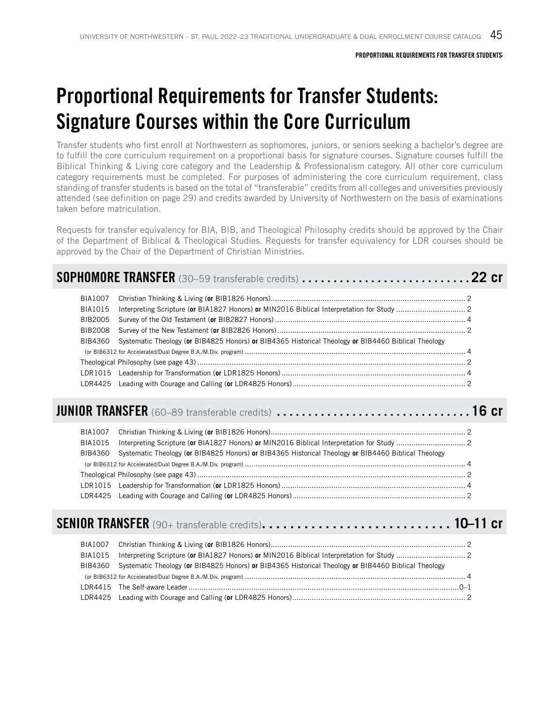## Proportional Requirements for Transfer Students: Signature Courses within the Core Curriculum

Transfer students who first enroll at Northwestern as sophomores, juniors, or seniors seeking a bachelor's degree are to fulfill the core curriculum requirement on a proportional basis for signature courses. Signature courses fulfill the Biblical Thinking & Living core category and the Leadership & Professionalism category. All other core curriculum category requirements must be completed. For purposes of administering the core curriculum requirement, class standing of transfer students is based on the total of "transferable" credits from all colleges and universities previously attended (see definition on page 29) and credits awarded by University of Northwestern on the basis of examinations taken before matriculation.

Requests for transfer equivalency for BIA, BIB, and Theological Philosophy credits should be approved by the Chair of the Department of Biblical & Theological Studies. Requests for transfer equivalency for LDR courses should be approved by the Chair of the Department of Christian Ministries.

| BIA1007<br>BIA1015<br>BIB2005<br>BIB2008 |                                                                                                     |  |
|------------------------------------------|-----------------------------------------------------------------------------------------------------|--|
| BIB4360                                  | Systematic Theology (or BIB4825 Honors) or BIB4365 Historical Theology or BIB4460 Biblical Theology |  |

| JUNIOR TRANSFER (60–89 transferable credits) 16 cr |
|----------------------------------------------------|
|----------------------------------------------------|

| BIB4360 Systematic Theology (or BIB4825 Honors) or BIB4365 Historical Theology or BIB4460 Biblical Theology |  |
|-------------------------------------------------------------------------------------------------------------|--|
|                                                                                                             |  |
|                                                                                                             |  |
|                                                                                                             |  |
|                                                                                                             |  |

### SENIOR TRANSFER (90+ transferable credits). . **10–11 cr**

| BIB4360 Systematic Theology (or BIB4825 Honors) or BIB4365 Historical Theology or BIB4460 Biblical Theology |  |
|-------------------------------------------------------------------------------------------------------------|--|
|                                                                                                             |  |
|                                                                                                             |  |
|                                                                                                             |  |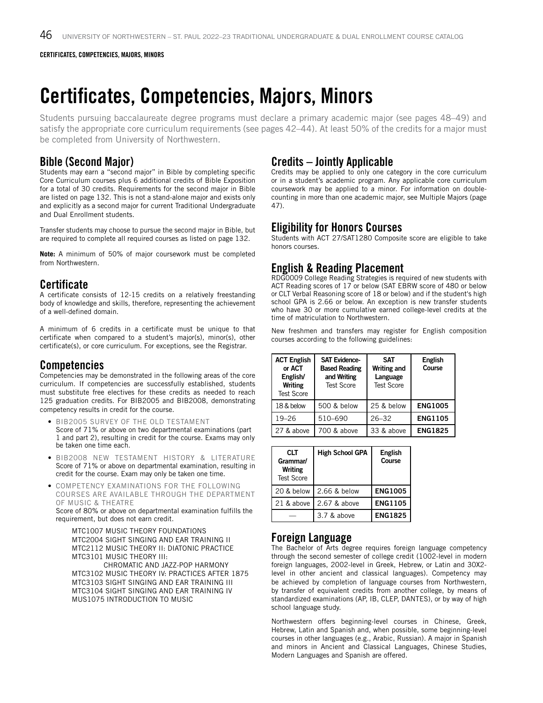## Certificates, Competencies, Majors, Minors

Students pursuing baccalaureate degree programs must declare a primary academic major (see pages 48–49) and satisfy the appropriate core curriculum requirements (see pages 42–44). At least 50% of the credits for a major must be completed from University of Northwestern.

### Bible (Second Major)

Students may earn a "second major" in Bible by completing specific Core Curriculum courses plus 6 additional credits of Bible Exposition for a total of 30 credits. Requirements for the second major in Bible are listed on page 132. This is not a stand-alone major and exists only and explicitly as a second major for current Traditional Undergraduate and Dual Enrollment students.

Transfer students may choose to pursue the second major in Bible, but are required to complete all required courses as listed on page 132.

**Note:** A minimum of 50% of major coursework must be completed from Northwestern.

### **Certificate**

A certificate consists of 12-15 credits on a relatively freestanding body of knowledge and skills, therefore, representing the achievement of a well-defined domain.

A minimum of 6 credits in a certificate must be unique to that certificate when compared to a student's major(s), minor(s), other certificate(s), or core curriculum. For exceptions, see the Registrar.

### Competencies

Competencies may be demonstrated in the following areas of the core curriculum. If competencies are successfully established, students must substitute free electives for these credits as needed to reach 125 graduation credits. For BIB2005 and BIB2008, demonstrating competency results in credit for the course.

- BIB2005 SURVEY OF THE OLD TESTAMENT Score of 71% or above on two departmental examinations (part 1 and part 2), resulting in credit for the course. Exams may only be taken one time each.
- BIB2008 NEW TESTAMENT HISTORY & LITERATURE Score of 71% or above on departmental examination, resulting in credit for the course. Exam may only be taken one time.
- COMPETENCY EXAMINATIONS FOR THE FOLLOWING COURSES ARE AVAILABLE THROUGH THE DEPARTMENT OF MUSIC & THEATRE

Score of 80% or above on departmental examination fulfills the requirement, but does not earn credit.

MTC1007 MUSIC THEORY FOUNDATIONS MTC2004 SIGHT SINGING AND EAR TRAINING II MTC2112 MUSIC THEORY II: DIATONIC PRACTICE MTC3101 MUSIC THEORY III: CHROMATIC AND JAZZ-POP HARMONY MTC3102 MUSIC THEORY IV: PRACTICES AFTER 1875 MTC3103 SIGHT SINGING AND EAR TRAINING III MTC3104 SIGHT SINGING AND EAR TRAINING IV MUS1075 INTRODUCTION TO MUSIC

### Credits – Jointly Applicable

Credits may be applied to only one category in the core curriculum or in a student's academic program. Any applicable core curriculum coursework may be applied to a minor. For information on doublecounting in more than one academic major, see Multiple Majors (page 47).

### Eligibility for Honors Courses

Students with ACT 27/SAT1280 Composite score are eligible to take honors courses.

### English & Reading Placement

RDG0009 College Reading Strategies is required of new students with ACT Reading scores of 17 or below (SAT EBRW score of 480 or below or CLT Verbal Reasoning score of 18 or below) and if the student's high school GPA is 2.66 or below. An exception is new transfer students who have 30 or more cumulative earned college-level credits at the time of matriculation to Northwestern.

New freshmen and transfers may register for English composition courses according to the following guidelines:

| <b>ACT English</b><br>or ACT<br>English/<br><b>Writing</b><br><b>Test Score</b> | <b>SAT Evidence-</b><br><b>Based Reading</b><br>and Writing<br><b>Test Score</b> | <b>SAT</b><br><b>Writing and</b><br>Language<br><b>Test Score</b> | <b>English</b><br>Course |
|---------------------------------------------------------------------------------|----------------------------------------------------------------------------------|-------------------------------------------------------------------|--------------------------|
| 18 & below                                                                      | 500 & below                                                                      | 25 & below                                                        | <b>ENG1005</b>           |
| $19 - 26$                                                                       | 510-690                                                                          | $26 - 32$                                                         | <b>ENG1105</b>           |
| 27 & above                                                                      | 700 & above                                                                      | 33 & above                                                        | <b>ENG1825</b>           |

| <b>CLT</b><br>Grammar/<br><b>Writing</b><br><b>Test Score</b> | <b>High School GPA</b> | English<br>Course |
|---------------------------------------------------------------|------------------------|-------------------|
| 20 & below                                                    | 2.66 & below           | <b>ENG1005</b>    |
| 21 & above                                                    | 2.67 & above           | <b>ENG1105</b>    |
|                                                               | 3.7 & above            | <b>ENG1825</b>    |

### Foreign Language

The Bachelor of Arts degree requires foreign language competency through the second semester of college credit (1002-level in modern foreign languages, 2002-level in Greek, Hebrew, or Latin and 30X2 level in other ancient and classical languages). Competency may be achieved by completion of language courses from Northwestern, by transfer of equivalent credits from another college, by means of standardized examinations (AP, IB, CLEP, DANTES), or by way of high school language study.

Northwestern offers beginning-level courses in Chinese, Greek, Hebrew, Latin and Spanish and, when possible, some beginning-level courses in other languages (e.g., Arabic, Russian). A major in Spanish and minors in Ancient and Classical Languages, Chinese Studies, Modern Languages and Spanish are offered.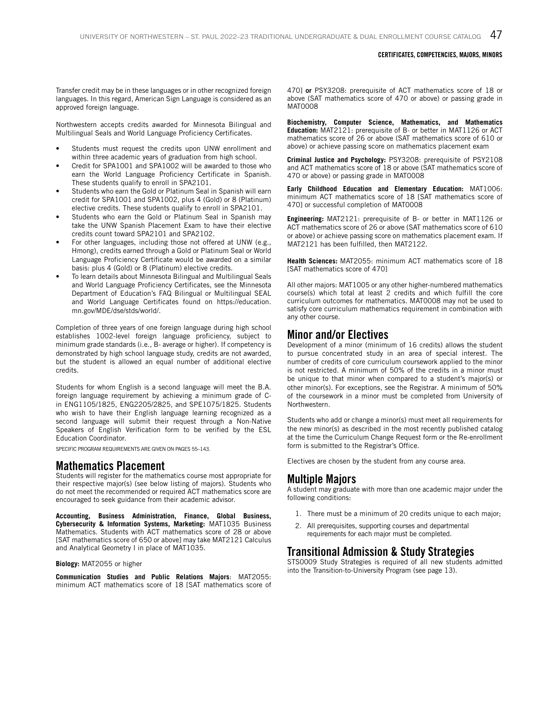#### CERTIFICATES, COMPETENCIES, MAJORS, MINORS

Transfer credit may be in these languages or in other recognized foreign languages. In this regard, American Sign Language is considered as an approved foreign language.

Northwestern accepts credits awarded for Minnesota Bilingual and Multilingual Seals and World Language Proficiency Certificates.

- Students must request the credits upon UNW enrollment and within three academic years of graduation from high school.
- Credit for SPA1001 and SPA1002 will be awarded to those who earn the World Language Proficiency Certificate in Spanish. These students qualify to enroll in SPA2101.
- Students who earn the Gold or Platinum Seal in Spanish will earn credit for SPA1001 and SPA1002, plus 4 (Gold) or 8 (Platinum) elective credits. These students qualify to enroll in SPA2101.
- Students who earn the Gold or Platinum Seal in Spanish may take the UNW Spanish Placement Exam to have their elective credits count toward SPA2101 and SPA2102.
- For other languages, including those not offered at UNW (e.g., Hmong), credits earned through a Gold or Platinum Seal or World Language Proficiency Certificate would be awarded on a similar basis: plus 4 (Gold) or 8 (Platinum) elective credits.
- To learn details about Minnesota Bilingual and Multilingual Seals and World Language Proficiency Certificates, see the Minnesota Department of Education's FAQ Bilingual or Multilingual SEAL and World Language Certificates found on https://education. mn.gov/MDE/dse/stds/world/.

Completion of three years of one foreign language during high school establishes 1002-level foreign language proficiency, subject to minimum grade standards (i.e., B- average or higher). If competency is demonstrated by high school language study, credits are not awarded, but the student is allowed an equal number of additional elective credits.

Students for whom English is a second language will meet the B.A. foreign language requirement by achieving a minimum grade of Cin ENG1105/1825, ENG2205/2825, and SPE1075/1825. Students who wish to have their English language learning recognized as a second language will submit their request through a Non-Native Speakers of English Verification form to be verified by the ESL Education Coordinator.

SPECIFIC PROGRAM REQUIREMENTS ARE GIVEN ON PAGES 55–143.

#### Mathematics Placement

Students will register for the mathematics course most appropriate for their respective major(s) (see below listing of majors). Students who do not meet the recommended or required ACT mathematics score are encouraged to seek guidance from their academic advisor.

**Accounting, Business Administration, Finance, Global Business, Cybersecurity & Information Systems, Marketing:** MAT1035 Business Mathematics. Students with ACT mathematics score of 28 or above [SAT mathematics score of 650 or above] may take MAT2121 Calculus and Analytical Geometry I in place of MAT1035.

#### **Biology:** MAT2055 or higher

**Communication Studies and Public Relations Majors**: MAT2055: minimum ACT mathematics score of 18 [SAT mathematics score of 470] or PSY3208: prerequisite of ACT mathematics score of 18 or above (SAT mathematics score of 470 or above) or passing grade in MAT0008

**Biochemistry, Computer Science, Mathematics, and Mathematics Education:** MAT2121: prerequisite of B- or better in MAT1126 or ACT mathematics score of 26 or above (SAT mathematics score of 610 or above) or achieve passing score on mathematics placement exam

**Criminal Justice and Psychology:** PSY3208: prerequisite of PSY2108 and ACT mathematics score of 18 or above (SAT mathematics score of 470 or above) or passing grade in MAT0008

**Early Childhood Education and Elementary Education:** MAT1006: minimum ACT mathematics score of 18 [SAT mathematics score of 470] or successful completion of MAT0008

**Engineering:** MAT2121: prerequisite of B- or better in MAT1126 or ACT mathematics score of 26 or above (SAT mathematics score of 610 or above) or achieve passing score on mathematics placement exam. If MAT2121 has been fulfilled, then MAT2122.

**Health Sciences:** MAT2055: minimum ACT mathematics score of 18 [SAT mathematics score of 470]

All other majors: MAT1005 or any other higher-numbered mathematics course(s) which total at least 2 credits and which fulfill the core curriculum outcomes for mathematics. MAT0008 may not be used to satisfy core curriculum mathematics requirement in combination with any other course.

#### Minor and/or Electives

Development of a minor (minimum of 16 credits) allows the student to pursue concentrated study in an area of special interest. The number of credits of core curriculum coursework applied to the minor is not restricted. A minimum of 50% of the credits in a minor must be unique to that minor when compared to a student's major(s) or other minor(s). For exceptions, see the Registrar. A minimum of 50% of the coursework in a minor must be completed from University of Northwestern.

Students who add or change a minor(s) must meet all requirements for the new minor(s) as described in the most recently published catalog at the time the Curriculum Change Request form or the Re-enrollment form is submitted to the Registrar's Office.

Electives are chosen by the student from any course area.

### Multiple Majors

A student may graduate with more than one academic major under the following conditions:

- 1. There must be a minimum of 20 credits unique to each major;
- 2. All prerequisites, supporting courses and departmental requirements for each major must be completed.

### Transitional Admission & Study Strategies

STS0009 Study Strategies is required of all new students admitted into the Transition-to-University Program (see page 13).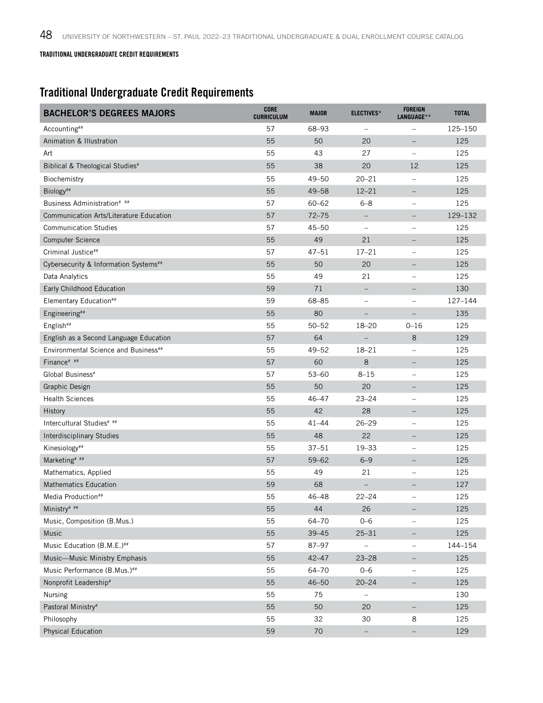### TRADITIONAL UNDERGRADUATE CREDIT REQUIREMENTS

## Traditional Undergraduate Credit Requirements

| <b>BACHELOR'S DEGREES MAJORS</b>                 | <b>CORE</b><br><b>CURRICULUM</b> | <b>MAJOR</b> | <b>ELECTIVES*</b>        | <b>FOREIGN</b><br>LANGUAGE** | <b>TOTAL</b> |
|--------------------------------------------------|----------------------------------|--------------|--------------------------|------------------------------|--------------|
| Accounting##                                     | 57                               | 68-93        | $\qquad \qquad -$        |                              | 125-150      |
| Animation & Illustration                         | 55                               | 50           | 20                       | $\qquad \qquad -$            | 125          |
| Art                                              | 55                               | 43           | 27                       | $\overline{\phantom{0}}$     | 125          |
| Biblical & Theological Studies <sup>#</sup>      | 55                               | 38           | 20                       | 12                           | 125          |
| Biochemistry                                     | 55                               | $49 - 50$    | $20 - 21$                | $\qquad \qquad -$            | 125          |
| Biology##                                        | 55                               | $49 - 58$    | $12 - 21$                | $\overline{\phantom{m}}$     | 125          |
| Business Administration# ##                      | 57                               | $60 - 62$    | $6 - 8$                  | $\overline{\phantom{m}}$     | 125          |
| <b>Communication Arts/Literature Education</b>   | 57                               | $72 - 75$    |                          |                              | 129-132      |
| <b>Communication Studies</b>                     | 57                               | $45 - 50$    | $\qquad \qquad -$        | $\overline{\phantom{m}}$     | 125          |
| <b>Computer Science</b>                          | 55                               | 49           | 21                       |                              | 125          |
| Criminal Justice##                               | 57                               | $47 - 51$    | $17 - 21$                |                              | 125          |
| Cybersecurity & Information Systems##            | 55                               | 50           | 20                       | $\qquad \qquad -$            | 125          |
| Data Analytics                                   | 55                               | 49           | 21                       | $\overline{\phantom{m}}$     | 125          |
| Early Childhood Education                        | 59                               | 71           | $\qquad \qquad -$        | $\qquad \qquad -$            | 130          |
| Elementary Education##                           | 59                               | 68-85        | $\overline{\phantom{0}}$ | $\overline{\phantom{m}}$     | 127-144      |
| Engineering##                                    | 55                               | 80           |                          |                              | 135          |
| English##                                        | 55                               | $50 - 52$    | $18 - 20$                | $0 - 16$                     | 125          |
| English as a Second Language Education           | 57                               | 64           |                          | 8                            | 129          |
| Environmental Science and Business <sup>##</sup> | 55                               | $49 - 52$    | $18 - 21$                | $\qquad \qquad -$            | 125          |
| Finance# ##                                      | 57                               | 60           | 8                        | $\qquad \qquad -$            | 125          |
| Global Business <sup>#</sup>                     | 57                               | $53 - 60$    | $8 - 15$                 | $\overline{\phantom{0}}$     | 125          |
| Graphic Design                                   | 55                               | 50           | 20                       | $\qquad \qquad -$            | 125          |
| <b>Health Sciences</b>                           | 55                               | $46 - 47$    | $23 - 24$                | $\overline{\phantom{m}}$     | 125          |
| History                                          | 55                               | 42           | 28                       |                              | 125          |
| Intercultural Studies# ##                        | 55                               | $41 - 44$    | $26 - 29$                | $\overline{\phantom{m}}$     | 125          |
| <b>Interdisciplinary Studies</b>                 | 55                               | 48           | 22                       |                              | 125          |
| Kinesiology##                                    | 55                               | $37 - 51$    | $19 - 33$                | $\overline{\phantom{m}}$     | 125          |
| Marketing <sup># ##</sup>                        | 57                               | $59 - 62$    | $6 - 9$                  | $\overline{\phantom{m}}$     | 125          |
| Mathematics, Applied                             | 55                               | 49           | 21                       | $\overline{\phantom{0}}$     | 125          |
| <b>Mathematics Education</b>                     | 59                               | 68           |                          |                              | 127          |
| Media Production##                               | 55                               | $46 - 48$    | $22 - 24$                | $\qquad \qquad -$            | 125          |
| Ministry# ##                                     | 55                               | 44           | 26                       |                              | 125          |
| Music, Composition (B.Mus.)                      | 55                               | 64-70        | $0 - 6$                  | $\overline{\phantom{a}}$     | 125          |
| Music                                            | 55                               | $39 - 45$    | $25 - 31$                | $\qquad \qquad -$            | 125          |
| Music Education (B.M.E.)##                       | 57                               | 87-97        | $\overline{\phantom{0}}$ |                              | 144-154      |
| Music-Music Ministry Emphasis                    | 55                               | $42 - 47$    | $23 - 28$                | $\overline{\phantom{m}}$     | 125          |
| Music Performance (B.Mus.)##                     | 55                               | 64-70        | $0 - 6$                  | $\qquad \qquad -$            | 125          |
| Nonprofit Leadership#                            | 55                               | $46 - 50$    | $20 - 24$                |                              | 125          |
| Nursing                                          | 55                               | 75           | -                        |                              | 130          |
| Pastoral Ministry#                               | 55                               | 50           | 20                       |                              | 125          |
| Philosophy                                       | 55                               | 32           | 30                       | 8                            | 125          |
| <b>Physical Education</b>                        | 59                               | 70           | $\qquad \qquad -$        | $\qquad \qquad -$            | 129          |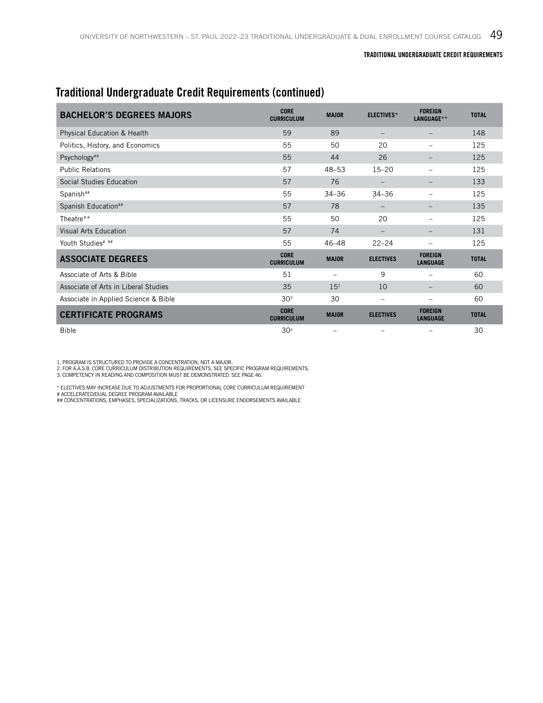### Traditional Undergraduate Credit Requirements (continued)

| <b>BACHELOR'S DEGREES MAJORS</b>       | <b>CORE</b><br><b>CURRICULUM</b> | <b>MAJOR</b>    | <b>ELECTIVES*</b>      | <b>FOREIGN</b><br>LANGUAGE**      | <b>TOTAL</b> |
|----------------------------------------|----------------------------------|-----------------|------------------------|-----------------------------------|--------------|
| <b>Physical Education &amp; Health</b> | 59                               | 89              |                        |                                   | 148          |
| Politics, History, and Economics       | 55                               | 50              | 20                     |                                   | 125          |
| Psychology##                           | 55                               | 44              | 26                     |                                   | 125          |
| <b>Public Relations</b>                | 57                               | $48 - 53$       | $15 - 20$              |                                   | 125          |
| Social Studies Education               | 57                               | 76              |                        |                                   | 133          |
| Spanish##                              | 55                               | $34 - 36$       | $34 - 36$              |                                   | 125          |
| Spanish Education##                    | 57                               | 78              |                        |                                   | 135          |
| Theatre**                              | 55                               | 50              | 20                     |                                   | 125          |
| Visual Arts Education                  | 57                               | 74              |                        |                                   | 131          |
| Youth Studies# ##                      | 55                               | $46 - 48$       | $22 - 24$              | $\overline{\phantom{0}}$          | 125          |
| <b>ASSOCIATE DEGREES</b>               | <b>CORE</b><br><b>CURRICULUM</b> | <b>MAJOR</b>    | <b>ELECTIVES</b>       | <b>FOREIGN</b><br><b>LANGUAGE</b> | <b>TOTAL</b> |
| Associate of Arts & Bible              | 51                               |                 | 9                      |                                   | 60           |
| Associate of Arts in Liberal Studies   | 35                               | 15 <sup>1</sup> | 10                     |                                   | 60           |
| Associate in Applied Science & Bible   | 30 <sup>2</sup>                  | 30              | $\qquad \qquad \qquad$ |                                   | 60           |
| <b>CERTIFICATE PROGRAMS</b>            | <b>CORE</b><br><b>CURRICULUM</b> | <b>MAJOR</b>    | <b>ELECTIVES</b>       | <b>FOREIGN</b><br><b>LANGUAGE</b> | <b>TOTAL</b> |
| <b>Bible</b>                           | 30 <sup>3</sup>                  |                 |                        |                                   | 30           |

1. PROGRAM IS STRUCTURED TO PROVIDE A CONCENTRATION, NOT A MAJOR.<br>2. FOR A.A.S.B. CORE CURRICULUM DISTRIBUTION REQUIREMENTS, SEE SPECIFIC PROGRAM REQUIREMENTS.<br>3. COMPETENCY IN READING AND COMPOSITION MUST BE DEMONSTRATED.

\* ELECTIVES MAY INCREASE DUE TO ADJUSTMENTS FOR PROPORTIONAL CORE CURRICULUM REQUIREMENT # ACCELERATED/DUAL DEGREE PROGRAM AVAILABLE

## CONCENTRATIONS, EMPHASES, SPECIALIZATIONS, TRACKS, OR LICENSURE ENDORSEMENTS AVAILABLE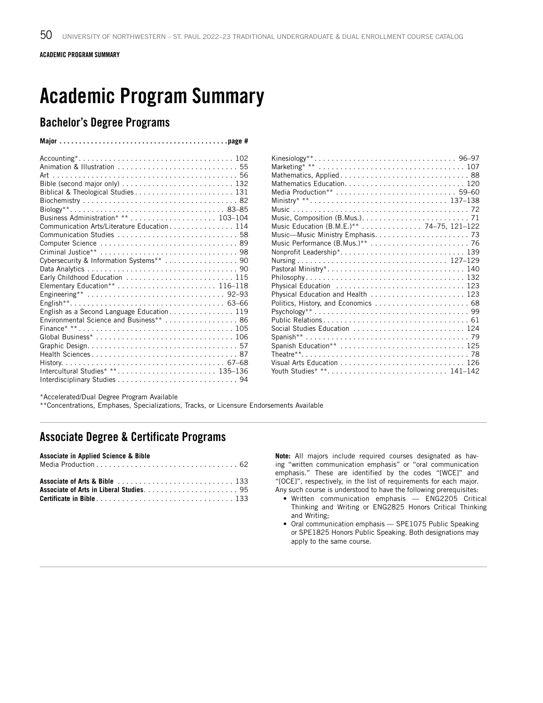ACADEMIC PROGRAM SUMMARY

## Academic Program Summary

**Major. . page #**

### Bachelor's Degree Programs

| Mathematics Education 120                 |  |
|-------------------------------------------|--|
|                                           |  |
| Ministry* ** 137–138                      |  |
|                                           |  |
|                                           |  |
| Music Education (B.M.E.)** 74–75, 121–122 |  |
|                                           |  |
|                                           |  |
|                                           |  |
|                                           |  |
| Pastoral Ministry* 140                    |  |
|                                           |  |
| Physical Education  123                   |  |
| Physical Education and Health  123        |  |
| Politics, History, and Economics  68      |  |
|                                           |  |
|                                           |  |
| Social Studies Education  124             |  |
|                                           |  |
| Spanish Education**  125                  |  |
|                                           |  |
|                                           |  |
| Youth Studies* ** 141-142                 |  |

\*Accelerated/Dual Degree Program Available

\*\*Concentrations, Emphases, Specializations, Tracks, or Licensure Endorsements Available

### Associate Degree & Certificate Programs

### **Associate in Applied Science & Bible**

**Note:** All majors include required courses designated as having "written communication emphasis" or "oral communication emphasis." These are identified by the codes "[WCE]" and "[OCE]", respectively, in the list of requirements for each major. Any such course is understood to have the following prerequisites:

- Written communication emphasis ENG2205 Critical Thinking and Writing or ENG2825 Honors Critical Thinking and Writing;
- Oral communication emphasis SPE1075 Public Speaking or SPE1825 Honors Public Speaking. Both designations may apply to the same course.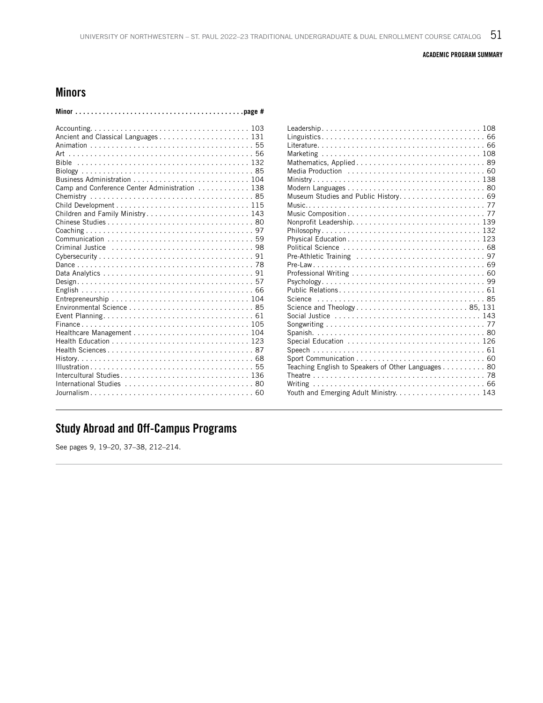#### ACADEMIC PROGRAM SUMMARY

### Minors

| Camp and Conference Center Administration 138                              |
|----------------------------------------------------------------------------|
|                                                                            |
|                                                                            |
| Children and Family Ministry 143                                           |
|                                                                            |
|                                                                            |
|                                                                            |
|                                                                            |
|                                                                            |
|                                                                            |
|                                                                            |
|                                                                            |
|                                                                            |
|                                                                            |
|                                                                            |
|                                                                            |
|                                                                            |
| Health Education $\ldots \ldots \ldots \ldots \ldots \ldots \ldots \ldots$ |
|                                                                            |
|                                                                            |
|                                                                            |
| Intercultural Studies 136                                                  |
|                                                                            |
|                                                                            |
|                                                                            |

| Teaching English to Speakers of Other Languages 80 |
|----------------------------------------------------|
|                                                    |
|                                                    |
|                                                    |

## Study Abroad and Off-Campus Programs

See pages 9, 19–20, 37–38, 212–214.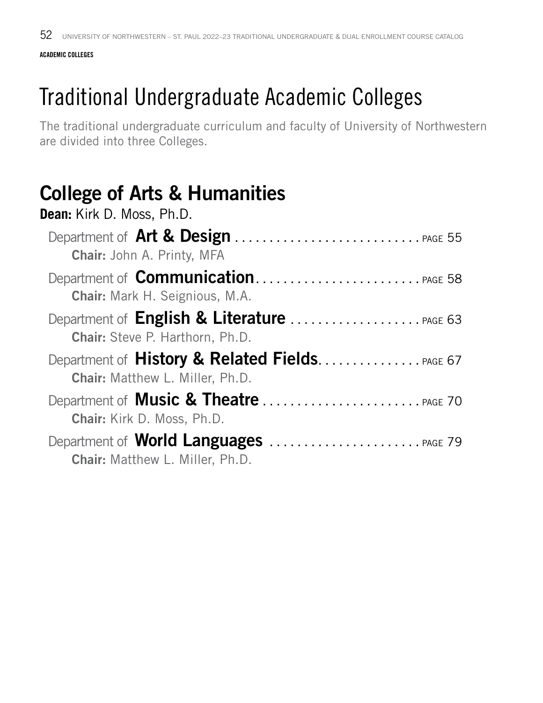### **ACADEMIC COLLEGES**

# Traditional Undergraduate Academic Colleges

The traditional undergraduate curriculum and faculty of University of Northwestern are divided into three Colleges.

## College of Arts & Humanities

| Dean: Kirk D. Moss, Ph.D.              |
|----------------------------------------|
| <b>Chair: John A. Printy, MFA</b>      |
| <b>Chair:</b> Mark H. Seignious, M.A.  |
| <b>Chair:</b> Steve P. Harthorn, Ph.D. |
| <b>Chair:</b> Matthew L. Miller, Ph.D. |
| <b>Chair:</b> Kirk D. Moss, Ph.D.      |
| Chair: Matthew L. Miller, Ph.D.        |